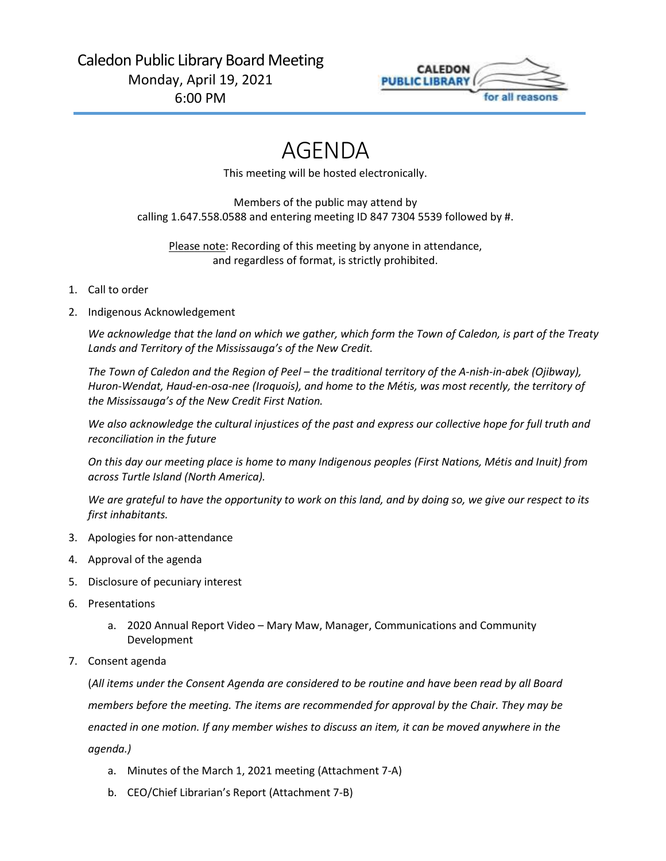

# AGENDA

This meeting will be hosted electronically.

Members of the public may attend by calling 1.647.558.0588 and entering meeting ID 847 7304 5539 followed by #.

Please note: Recording of this meeting by anyone in attendance, and regardless of format, is strictly prohibited.

## 1. Call to order

2. Indigenous Acknowledgement

*We acknowledge that the land on which we gather, which form the Town of Caledon, is part of the Treaty Lands and Territory of the Mississauga's of the New Credit.*

*The Town of Caledon and the Region of Peel – the traditional territory of the A-nish-in-abek (Ojibway), Huron-Wendat, Haud-en-osa-nee (Iroquois), and home to the Métis, was most recently, the territory of the Mississauga's of the New Credit First Nation.*

*We also acknowledge the cultural injustices of the past and express our collective hope for full truth and reconciliation in the future*

*On this day our meeting place is home to many Indigenous peoples (First Nations, Métis and Inuit) from across Turtle Island (North America).*

*We are grateful to have the opportunity to work on this land, and by doing so, we give our respect to its first inhabitants.*

- 3. Apologies for non-attendance
- 4. Approval of the agenda
- 5. Disclosure of pecuniary interest
- 6. Presentations
	- a. 2020 Annual Report Video Mary Maw, Manager, Communications and Community Development
- 7. Consent agenda

(*All items under the Consent Agenda are considered to be routine and have been read by all Board members before the meeting. The items are recommended for approval by the Chair. They may be enacted in one motion. If any member wishes to discuss an item, it can be moved anywhere in the agenda.)*

- a. Minutes of the March 1, 2021 meeting [\(Attachment 7-A\)](#page-3-0)
- b. CEO/Chief Librarian's Report [\(Attachment 7-B\)](#page-8-0)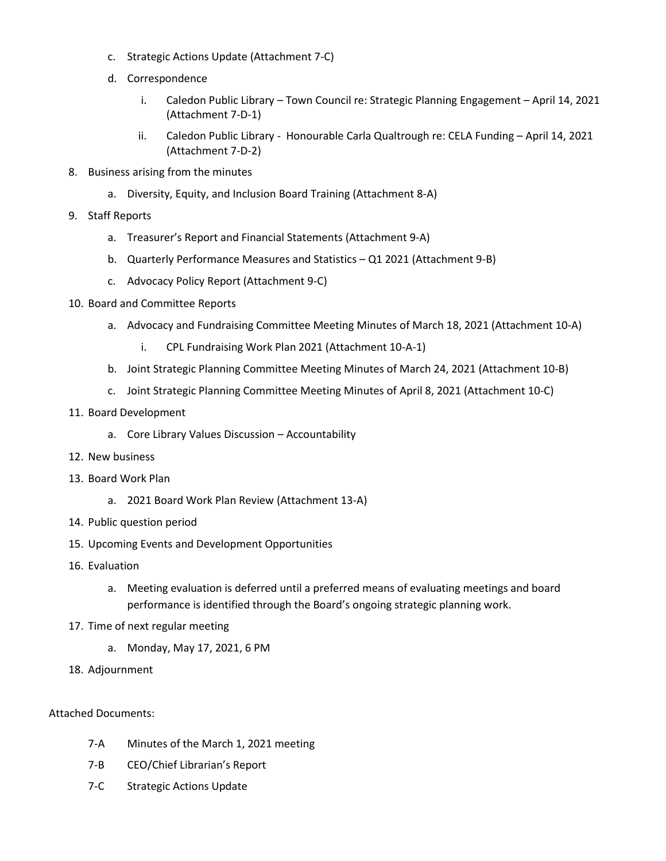- c. Strategic Actions Update [\(Attachment 7-C\)](#page-11-0)
- d. Correspondence
	- i. Caledon Public Library Town Council re: Strategic Planning Engagement April 14, 2021 [\(Attachment 7-D-1\)](#page-13-0)
	- ii. Caledon Public Library Honourable Carla Qualtrough re: CELA Funding April 14, 2021 [\(Attachment 7-D-2\)](#page-14-0)
- 8. Business arising from the minutes
	- a. Diversity, Equity, and Inclusion Board Training [\(Attachment 8-A\)](#page-15-0)
- 9. Staff Reports
	- a. Treasurer's Report and Financial Statements [\(Attachment](#page-17-0) 9-A)
	- b. Quarterly Performance Measures and Statistics Q1 2021 [\(Attachment 9-B\)](#page-22-0)
	- c. Advocacy Policy Report [\(Attachment 9-C\)](#page-31-0)
- 10. Board and Committee Reports
	- a. Advocacy and Fundraising Committee Meeting Minutes of March 18, 2021 [\(Attachment 10-A\)](#page-35-0)
		- i. CPL Fundraising Work Plan 2021 [\(Attachment 10-A-1\)](#page-38-0)
	- b. Joint Strategic Planning Committee Meeting Minutes of March 24, 2021 [\(Attachment 10-B\)](#page-40-0)
	- c. Joint Strategic Planning Committee Meeting Minutes of April 8, 2021 ([Attachment 10-C\)](#page-43-0)

### 11. Board Development

- a. Core Library Values Discussion Accountability
- 12. New business
- 13. Board Work Plan
	- a. 2021 Board Work Plan Review [\(Attachment 13-A\)](#page-45-0)
- 14. Public question period
- 15. Upcoming Events and Development Opportunities
- 16. Evaluation
	- a. Meeting evaluation is deferred until a preferred means of evaluating meetings and board performance is identified through the Board's ongoing strategic planning work.
- 17. Time of next regular meeting
	- a. Monday, May 17, 2021, 6 PM
- 18. Adjournment

### Attached Documents:

- 7-A [Minutes of the March 1, 2021 meeting](#page-3-0)
- 7-B [CEO/Chief Librarian's Report](#page-8-0)
- 7-C [Strategic Actions Update](#page-11-0)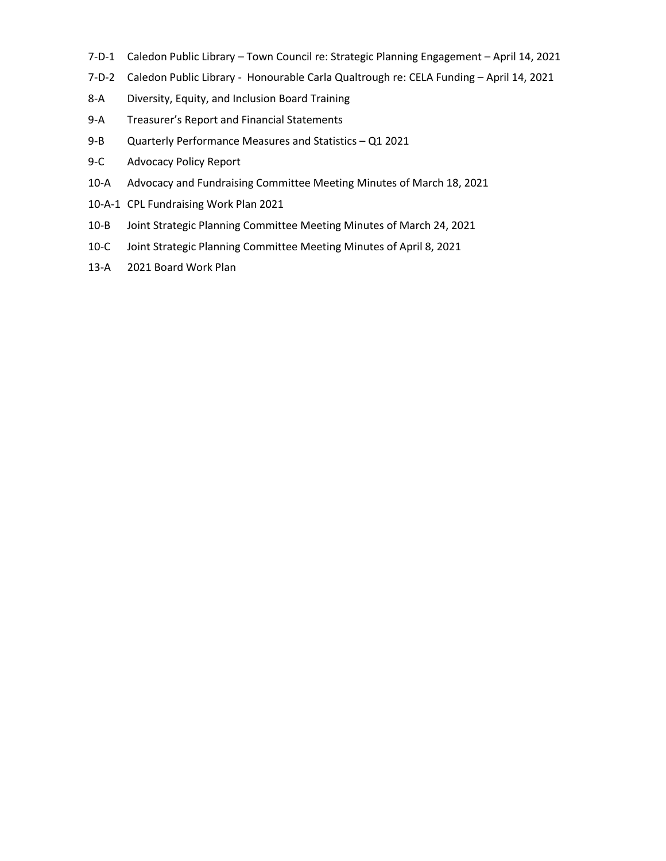- 7-D-1 Caledon Public Library Town Council [re: Strategic Planning Engagement](#page-13-0) April 14, 2021
- 7-D-2 Caledon Public Library Honourable [Carla Qualtrough re: CELA Funding](#page-14-0)  April 14, 2021
- 8-A [Diversity, Equity, and Inclusion Board Training](#page-15-0)
- 9-A [Treasurer's Report and Financial Statements](#page-17-0)
- 9-B [Quarterly Performance Measures and Statistics](#page-22-0)  Q1 2021
- 9-C [Advocacy Policy Report](#page-31-0)
- 10-A [Advocacy and Fundraising Committee Meeting Minutes of March 18, 2021](#page-35-0)
- 10-A-1 [CPL Fundraising Work Plan 2021](#page-38-0)
- 10-B [Joint Strategic Planning Committee Meeting Minutes of March 24, 2021](#page-40-0)
- 10-C [Joint Strategic Planning Committee Meeting Minutes of April 8, 2021](#page-43-0)
- 13-A [2021 Board Work Plan](#page-45-0)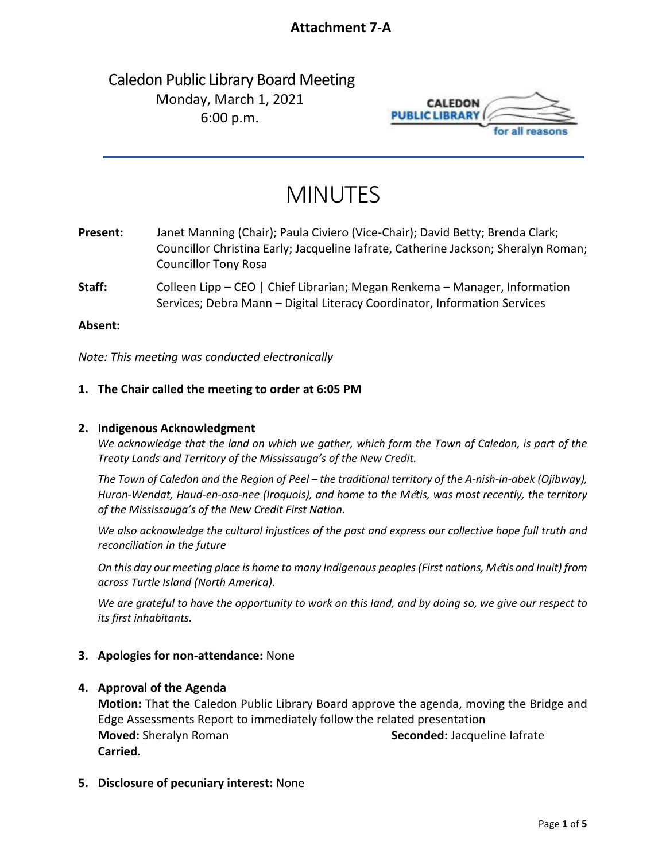# **Attachment 7-A**

# <span id="page-3-0"></span>Caledon Public Library Board Meeting Monday, March 1, 2021 6:00 p.m.



# MINUTES

**Present:** Janet Manning (Chair); Paula Civiero (Vice-Chair); David Betty; Brenda Clark; Councillor Christina Early; Jacqueline Iafrate, Catherine Jackson; Sheralyn Roman; Councillor Tony Rosa

**Staff:** Colleen Lipp – CEO | Chief Librarian; Megan Renkema – Manager, Information Services; Debra Mann – Digital Literacy Coordinator, Information Services

### **Absent:**

*Note: This meeting was conducted electronically*

### **1. The Chair called the meeting to order at 6:05 PM**

### **2. Indigenous Acknowledgment**

*We acknowledge that the land on which we gather, which form the Town of Caledon, is part of the Treaty Lands and Territory of the Mississauga's of the New Credit.*

*The Town of Caledon and the Region of Peel – the traditional territory of the A-nish-in-abek (Ojibway), Huron-Wendat, Haud-en-osa-nee (Iroquois), and home to the M*é*tis, was most recently, the territory of the Mississauga's of the New Credit First Nation.*

*We also acknowledge the cultural injustices of the past and express our collective hope full truth and reconciliation in the future*

*On this day our meeting place is home to many Indigenous peoples (First nations, M*é*tis and Inuit) from across Turtle Island (North America).*

*We are grateful to have the opportunity to work on this land, and by doing so, we give our respect to its first inhabitants.*

### **3. Apologies for non-attendance:** None

### **4. Approval of the Agenda**

**Motion:** That the Caledon Public Library Board approve the agenda, moving the Bridge and Edge Assessments Report to immediately follow the related presentation **Moved:** Sheralyn Roman **Seconded:** Jacqueline Iafrate **Carried.**

**5. Disclosure of pecuniary interest:** None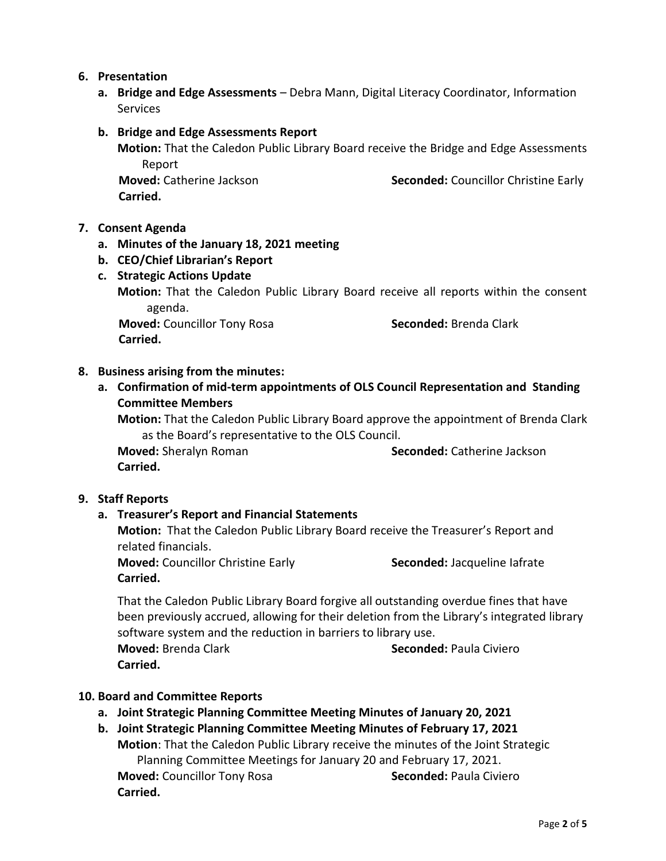# **6. Presentation**

**a. Bridge and Edge Assessments** – Debra Mann, Digital Literacy Coordinator, Information Services

### **b. Bridge and Edge Assessments Report**

**Motion:** That the Caledon Public Library Board receive the Bridge and Edge Assessments Report

 **Carried.** 

 **Moved:** Catherine Jackson **Seconded:** Councillor Christine Early

## **7. Consent Agenda**

- **a. Minutes of the January 18, 2021 meeting**
- **b. CEO/Chief Librarian's Report**

# **c. Strategic Actions Update**

**Motion:** That the Caledon Public Library Board receive all reports within the consent agenda.

**Moved:** Councillor Tony Rosa **Seconded:** Brenda Clark  **Carried.** 

# **8. Business arising from the minutes:**

**a. Confirmation of mid-term appointments of OLS Council Representation and Standing Committee Members**

**Motion:** That the Caledon Public Library Board approve the appointment of Brenda Clark as the Board's representative to the OLS Council.

**Moved:** Sheralyn Roman **Seconded:** Catherine Jackson **Carried.** 

### **9. Staff Reports**

# **a. Treasurer's Report and Financial Statements**

**Motion:** That the Caledon Public Library Board receive the Treasurer's Report and related financials.

**Moved:** Councillor Christine Early **Seconded:** Jacqueline Iafrate **Carried.**

That the Caledon Public Library Board forgive all outstanding overdue fines that have been previously accrued, allowing for their deletion from the Library's integrated library software system and the reduction in barriers to library use.

**Moved:** Brenda Clark **Seconded:** Paula Civiero **Carried.**

### **10. Board and Committee Reports**

- **a. Joint Strategic Planning Committee Meeting Minutes of January 20, 2021**
- **b. Joint Strategic Planning Committee Meeting Minutes of February 17, 2021 Motion**: That the Caledon Public Library receive the minutes of the Joint Strategic Planning Committee Meetings for January 20 and February 17, 2021. **Moved:** Councillor Tony Rosa **Seconded:** Paula Civiero **Carried.**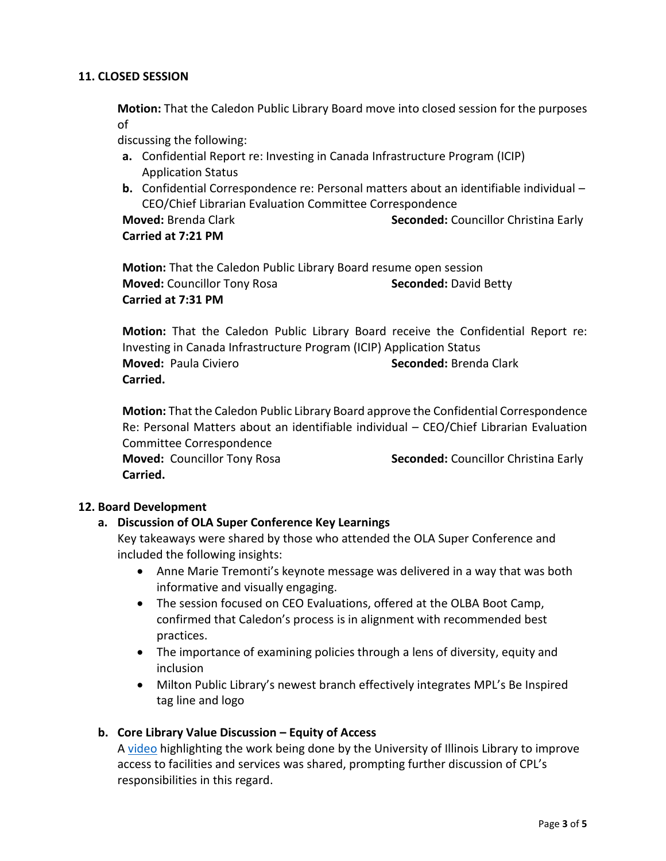# **11. CLOSED SESSION**

**Motion:** That the Caledon Public Library Board move into closed session for the purposes of

discussing the following:

- **a.** Confidential Report re: Investing in Canada Infrastructure Program (ICIP) Application Status
- **b.** Confidential Correspondence re: Personal matters about an identifiable individual CEO/Chief Librarian Evaluation Committee Correspondence

**Moved:** Brenda Clark **Seconded:** Councillor Christina Early **Carried at 7:21 PM**

**Motion:** That the Caledon Public Library Board resume open session **Moved:** Councillor Tony Rosa **Seconded:** David Betty **Carried at 7:31 PM**

**Motion:** That the Caledon Public Library Board receive the Confidential Report re: Investing in Canada Infrastructure Program (ICIP) Application Status **Moved:** Paula Civiero **Seconded:** Brenda Clark **Carried.** 

**Motion:** That the Caledon Public Library Board approve the Confidential Correspondence Re: Personal Matters about an identifiable individual – CEO/Chief Librarian Evaluation Committee Correspondence

**Moved:** Councillor Tony Rosa **Seconded:** Councillor Christina Early **Carried.** 

### **12. Board Development**

# **a. Discussion of OLA Super Conference Key Learnings**

Key takeaways were shared by those who attended the OLA Super Conference and included the following insights:

- Anne Marie Tremonti's keynote message was delivered in a way that was both informative and visually engaging.
- The session focused on CEO Evaluations, offered at the OLBA Boot Camp, confirmed that Caledon's process is in alignment with recommended best practices.
- The importance of examining policies through a lens of diversity, equity and inclusion
- Milton Public Library's newest branch effectively integrates MPL's Be Inspired tag line and logo

# **b. Core Library Value Discussion – Equity of Access**

A [video](http://www.ilovelibraries.org/article/equity-diversity-and-inclusion-libraries-jj-pionke-librarian-university-illinois) highlighting the work being done by the University of Illinois Library to improve access to facilities and services was shared, prompting further discussion of CPL's responsibilities in this regard.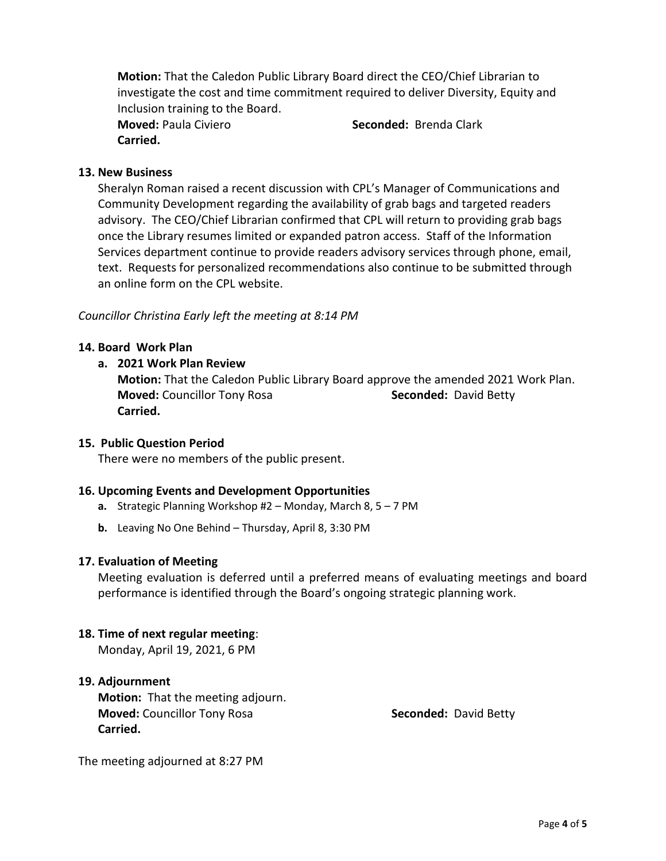**Motion:** That the Caledon Public Library Board direct the CEO/Chief Librarian to investigate the cost and time commitment required to deliver Diversity, Equity and Inclusion training to the Board.

**Carried.** 

**Moved:** Paula Civiero **Seconded:** Brenda Clark

# **13. New Business**

Sheralyn Roman raised a recent discussion with CPL's Manager of Communications and Community Development regarding the availability of grab bags and targeted readers advisory. The CEO/Chief Librarian confirmed that CPL will return to providing grab bags once the Library resumes limited or expanded patron access. Staff of the Information Services department continue to provide readers advisory services through phone, email, text. Requests for personalized recommendations also continue to be submitted through an online form on the CPL website.

## *Councillor Christina Early left the meeting at 8:14 PM*

## **14. Board Work Plan**

## **a. 2021 Work Plan Review**

**Motion:** That the Caledon Public Library Board approve the amended 2021 Work Plan. **Moved:** Councillor Tony Rosa **Seconded:** David Betty **Carried.** 

### **15. Public Question Period**

There were no members of the public present.

# **16. Upcoming Events and Development Opportunities**

- **a.** Strategic Planning Workshop #2 Monday, March 8, 5 7 PM
- **b.** Leaving No One Behind Thursday, April 8, 3:30 PM

### **17. Evaluation of Meeting**

Meeting evaluation is deferred until a preferred means of evaluating meetings and board performance is identified through the Board's ongoing strategic planning work.

### **18. Time of next regular meeting**:

Monday, April 19, 2021, 6 PM

# **19. Adjournment**

**Motion:** That the meeting adjourn. **Moved:** Councillor Tony Rosa **Seconded: David Betty Seconded: David Betty Carried.** 

The meeting adjourned at 8:27 PM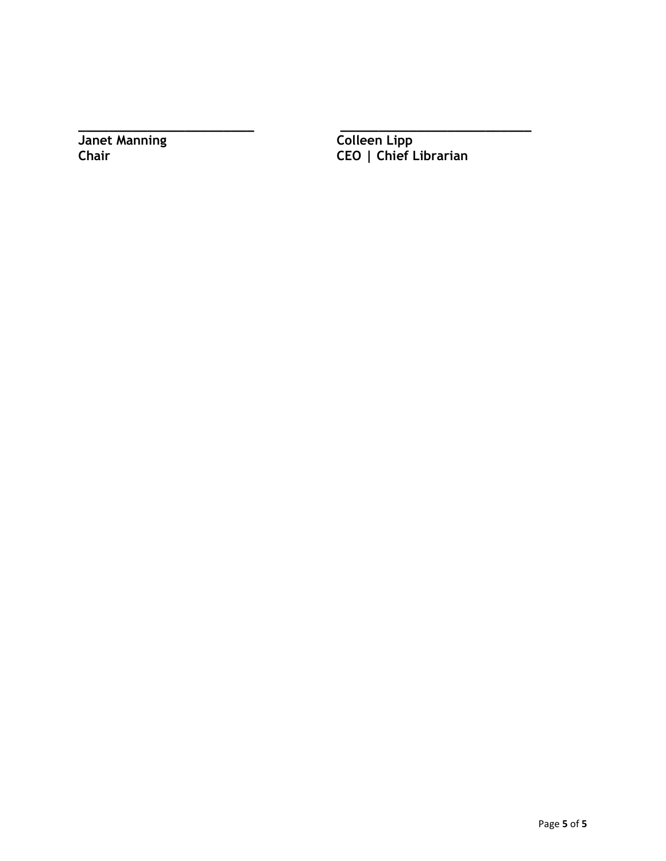**Janet Manning**<br>Chair

**\_\_\_\_\_\_\_\_\_\_\_\_\_\_\_\_\_\_\_\_\_\_\_ \_\_\_\_\_\_\_\_\_\_\_\_\_\_\_\_\_\_\_\_\_\_\_\_\_ Chair CEO | Chief Librarian**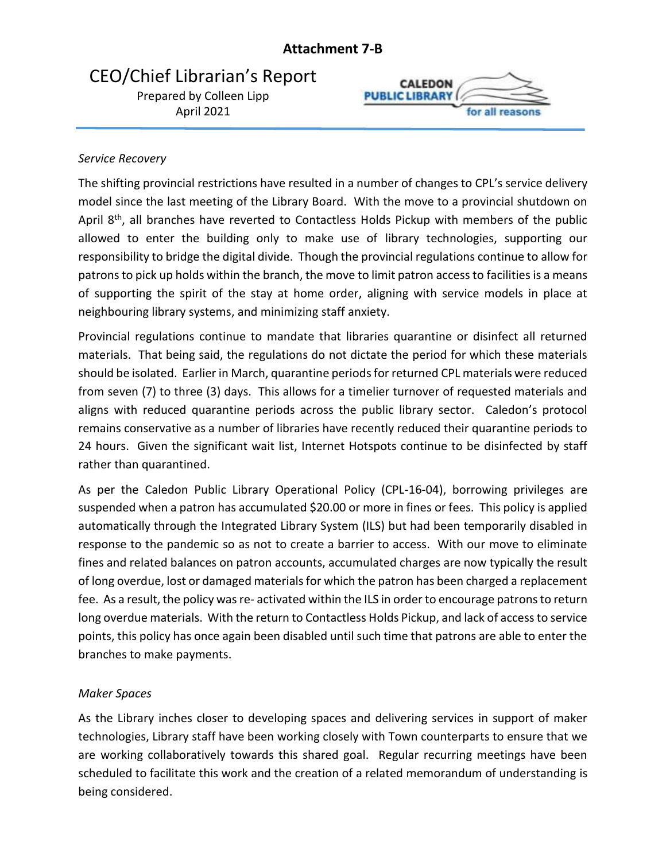# **Attachment 7-B**

# <span id="page-8-0"></span>CEO/Chief Librarian's Report

Prepared by Colleen Lipp April 2021



# *Service Recovery*

The shifting provincial restrictions have resulted in a number of changes to CPL's service delivery model since the last meeting of the Library Board. With the move to a provincial shutdown on April 8<sup>th</sup>, all branches have reverted to Contactless Holds Pickup with members of the public allowed to enter the building only to make use of library technologies, supporting our responsibility to bridge the digital divide. Though the provincial regulations continue to allow for patrons to pick up holds within the branch, the move to limit patron access to facilities is a means of supporting the spirit of the stay at home order, aligning with service models in place at neighbouring library systems, and minimizing staff anxiety.

Provincial regulations continue to mandate that libraries quarantine or disinfect all returned materials. That being said, the regulations do not dictate the period for which these materials should be isolated. Earlier in March, quarantine periods for returned CPL materials were reduced from seven (7) to three (3) days. This allows for a timelier turnover of requested materials and aligns with reduced quarantine periods across the public library sector. Caledon's protocol remains conservative as a number of libraries have recently reduced their quarantine periods to 24 hours. Given the significant wait list, Internet Hotspots continue to be disinfected by staff rather than quarantined.

As per the Caledon Public Library Operational Policy (CPL-16-04), borrowing privileges are suspended when a patron has accumulated \$20.00 or more in fines or fees. This policy is applied automatically through the Integrated Library System (ILS) but had been temporarily disabled in response to the pandemic so as not to create a barrier to access. With our move to eliminate fines and related balances on patron accounts, accumulated charges are now typically the result of long overdue, lost or damaged materials for which the patron has been charged a replacement fee. As a result, the policy was re- activated within the ILS in order to encourage patrons to return long overdue materials. With the return to Contactless Holds Pickup, and lack of access to service points, this policy has once again been disabled until such time that patrons are able to enter the branches to make payments.

# *Maker Spaces*

As the Library inches closer to developing spaces and delivering services in support of maker technologies, Library staff have been working closely with Town counterparts to ensure that we are working collaboratively towards this shared goal. Regular recurring meetings have been scheduled to facilitate this work and the creation of a related memorandum of understanding is being considered.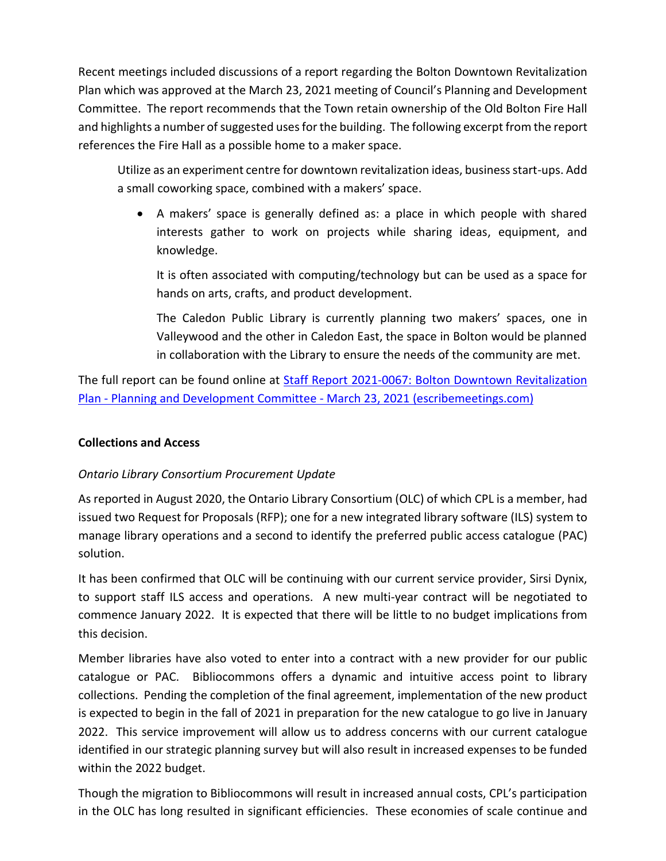Recent meetings included discussions of a report regarding the Bolton Downtown Revitalization Plan which was approved at the March 23, 2021 meeting of Council's Planning and Development Committee. The report recommends that the Town retain ownership of the Old Bolton Fire Hall and highlights a number of suggested uses for the building. The following excerpt from the report references the Fire Hall as a possible home to a maker space.

Utilize as an experiment centre for downtown revitalization ideas, business start-ups. Add a small coworking space, combined with a makers' space.

• A makers' space is generally defined as: a place in which people with shared interests gather to work on projects while sharing ideas, equipment, and knowledge.

It is often associated with computing/technology but can be used as a space for hands on arts, crafts, and product development.

The Caledon Public Library is currently planning two makers' spaces, one in Valleywood and the other in Caledon East, the space in Bolton would be planned in collaboration with the Library to ensure the needs of the community are met.

The full report can be found online at [Staff Report 2021-0067: Bolton Downtown Revitalization](https://pub-caledon.escribemeetings.com/Meeting.aspx?Id=4b75e585-9668-415b-b6f9-9773b2885697&Agenda=Merged&lang=English&Item=32&Tab=attachments)  Plan - Planning and Development Committee - [March 23, 2021 \(escribemeetings.com\)](https://pub-caledon.escribemeetings.com/Meeting.aspx?Id=4b75e585-9668-415b-b6f9-9773b2885697&Agenda=Merged&lang=English&Item=32&Tab=attachments)

# **Collections and Access**

# *Ontario Library Consortium Procurement Update*

As reported in August 2020, the Ontario Library Consortium (OLC) of which CPL is a member, had issued two Request for Proposals (RFP); one for a new integrated library software (ILS) system to manage library operations and a second to identify the preferred public access catalogue (PAC) solution.

It has been confirmed that OLC will be continuing with our current service provider, Sirsi Dynix, to support staff ILS access and operations. A new multi-year contract will be negotiated to commence January 2022. It is expected that there will be little to no budget implications from this decision.

Member libraries have also voted to enter into a contract with a new provider for our public catalogue or PAC. Bibliocommons offers a dynamic and intuitive access point to library collections. Pending the completion of the final agreement, implementation of the new product is expected to begin in the fall of 2021 in preparation for the new catalogue to go live in January 2022. This service improvement will allow us to address concerns with our current catalogue identified in our strategic planning survey but will also result in increased expenses to be funded within the 2022 budget.

Though the migration to Bibliocommons will result in increased annual costs, CPL's participation in the OLC has long resulted in significant efficiencies. These economies of scale continue and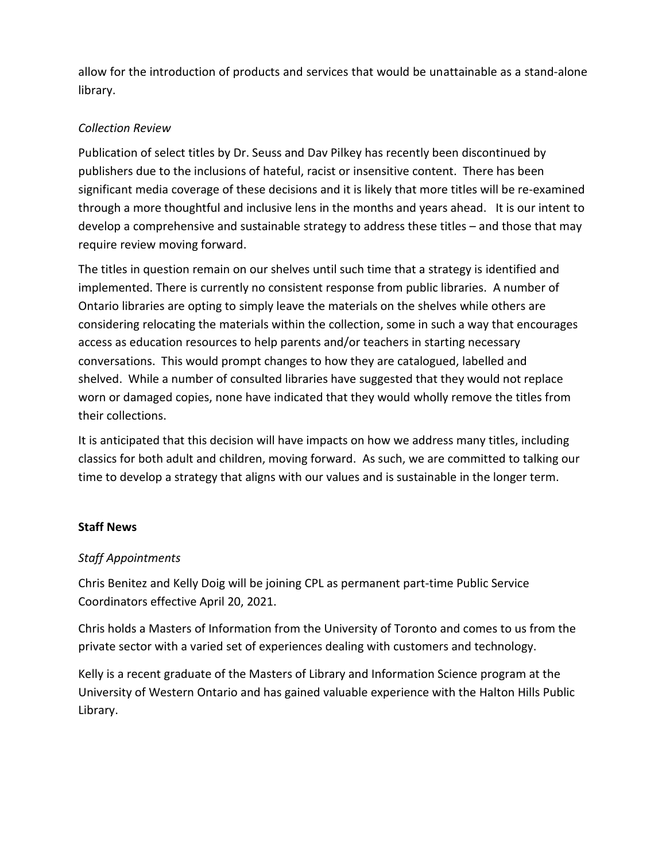allow for the introduction of products and services that would be unattainable as a stand-alone library.

# *Collection Review*

Publication of select titles by Dr. Seuss and Dav Pilkey has recently been discontinued by publishers due to the inclusions of hateful, racist or insensitive content. There has been significant media coverage of these decisions and it is likely that more titles will be re-examined through a more thoughtful and inclusive lens in the months and years ahead. It is our intent to develop a comprehensive and sustainable strategy to address these titles – and those that may require review moving forward.

The titles in question remain on our shelves until such time that a strategy is identified and implemented. There is currently no consistent response from public libraries. A number of Ontario libraries are opting to simply leave the materials on the shelves while others are considering relocating the materials within the collection, some in such a way that encourages access as education resources to help parents and/or teachers in starting necessary conversations. This would prompt changes to how they are catalogued, labelled and shelved. While a number of consulted libraries have suggested that they would not replace worn or damaged copies, none have indicated that they would wholly remove the titles from their collections.

It is anticipated that this decision will have impacts on how we address many titles, including classics for both adult and children, moving forward. As such, we are committed to talking our time to develop a strategy that aligns with our values and is sustainable in the longer term.

# **Staff News**

# *Staff Appointments*

Chris Benitez and Kelly Doig will be joining CPL as permanent part-time Public Service Coordinators effective April 20, 2021.

Chris holds a Masters of Information from the University of Toronto and comes to us from the private sector with a varied set of experiences dealing with customers and technology.

Kelly is a recent graduate of the Masters of Library and Information Science program at the University of Western Ontario and has gained valuable experience with the Halton Hills Public Library.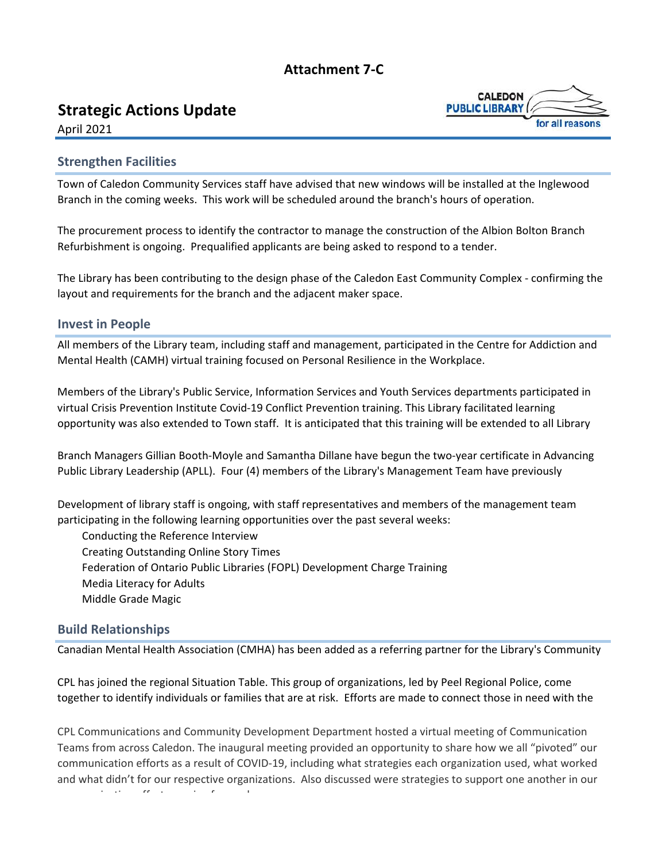# **Attachment 7‐C**

# <span id="page-11-0"></span>**Strategic Actions Update**



April 2021

# **Strengthen Facilities**

Town of Caledon Community Services staff have advised that new windows will be installed at the Inglewood Branch in the coming weeks. This work will be scheduled around the branch's hours of operation.

The procurement process to identify the contractor to manage the construction of the Albion Bolton Branch Refurbishment is ongoing. Prequalified applicants are being asked to respond to a tender.

The Library has been contributing to the design phase of the Caledon East Community Complex ‐ confirming the layout and requirements for the branch and the adjacent maker space.

# **Invest in People**

All members of the Library team, including staff and management, participated in the Centre for Addiction and Mental Health (CAMH) virtual training focused on Personal Resilience in the Workplace.

Members of the Library's Public Service, Information Services and Youth Services departments participated in virtual Crisis Prevention Institute Covid‐19 Conflict Prevention training. This Library facilitated learning opportunity was also extended to Town staff. It is anticipated that this training will be extended to all Library

Branch Managers Gillian Booth‐Moyle and Samantha Dillane have begun the two‐year certificate in Advancing Public Library Leadership (APLL). Four (4) members of the Library's Management Team have previously

Development of library staff is ongoing, with staff representatives and members of the management team participating in the following learning opportunities over the past several weeks:

Conducting the Reference Interview Creating Outstanding Online Story Times Federation of Ontario Public Libraries (FOPL) Development Charge Training Media Literacy for Adults Middle Grade Magic

# **Build Relationships**

Canadian Mental Health Association (CMHA) has been added as a referring partner for the Library's Community

CPL has joined the regional Situation Table. This group of organizations, led by Peel Regional Police, come together to identify individuals or families that are at risk. Efforts are made to connect those in need with the

CPL Communications and Community Development Department hosted a virtual meeting of Communication Teams from across Caledon. The inaugural meeting provided an opportunity to share how we all "pivoted" our communication efforts as a result of COVID‐19, including what strategies each organization used, what worked and what didn't for our respective organizations. Also discussed were strategies to support one another in our i ti ff t i f d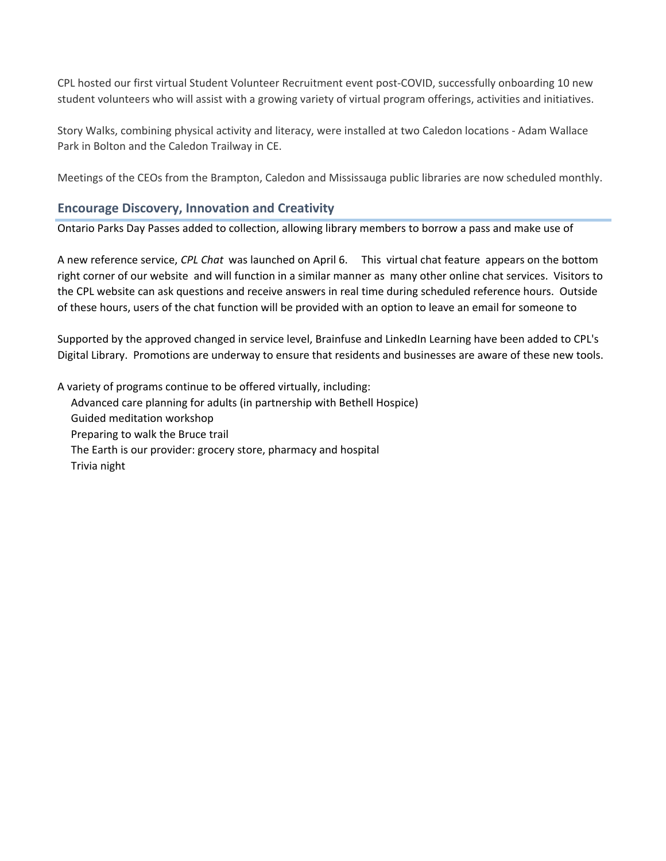CPL hosted our first virtual Student Volunteer Recruitment event post‐COVID, successfully onboarding 10 new student volunteers who will assist with a growing variety of virtual program offerings, activities and initiatives.

Story Walks, combining physical activity and literacy, were installed at two Caledon locations ‐ Adam Wallace Park in Bolton and the Caledon Trailway in CE.

Meetings of the CEOs from the Brampton, Caledon and Mississauga public libraries are now scheduled monthly.

# **Encourage Discovery, Innovation and Creativity**

Ontario Parks Day Passes added to collection, allowing library members to borrow a pass and make use of

A new reference service, *CPL Chat* was launched on April 6. This virtual chat feature appears on the bottom right corner of our website and will function in a similar manner as many other online chat services. Visitors to the CPL website can ask questions and receive answers in real time during scheduled reference hours. Outside of these hours, users of the chat function will be provided with an option to leave an email for someone to

Supported by the approved changed in service level, Brainfuse and LinkedIn Learning have been added to CPL's Digital Library. Promotions are underway to ensure that residents and businesses are aware of these new tools.

A variety of programs continue to be offered virtually, including: Advanced care planning for adults (in partnership with Bethell Hospice) Guided meditation workshop Preparing to walk the Bruce trail The Earth is our provider: grocery store, pharmacy and hospital Trivia night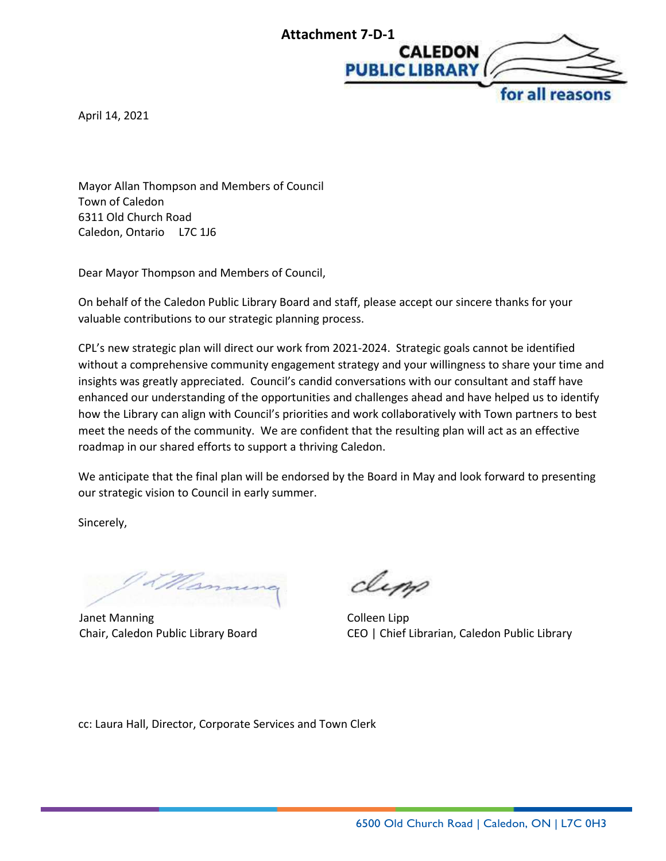

<span id="page-13-0"></span>April 14, 2021

Mayor Allan Thompson and Members of Council Town of Caledon 6311 Old Church Road Caledon, Ontario L7C 1J6

Dear Mayor Thompson and Members of Council,

On behalf of the Caledon Public Library Board and staff, please accept our sincere thanks for your valuable contributions to our strategic planning process.

CPL's new strategic plan will direct our work from 2021-2024. Strategic goals cannot be identified without a comprehensive community engagement strategy and your willingness to share your time and insights was greatly appreciated. Council's candid conversations with our consultant and staff have enhanced our understanding of the opportunities and challenges ahead and have helped us to identify how the Library can align with Council's priorities and work collaboratively with Town partners to best meet the needs of the community. We are confident that the resulting plan will act as an effective roadmap in our shared efforts to support a thriving Caledon.

We anticipate that the final plan will be endorsed by the Board in May and look forward to presenting our strategic vision to Council in early summer.

Sincerely,

<u>The</u>

Janet Manning Chair, Caledon Public Library Board

dipp

Colleen Lipp CEO | Chief Librarian, Caledon Public Library

cc: Laura Hall, Director, Corporate Services and Town Clerk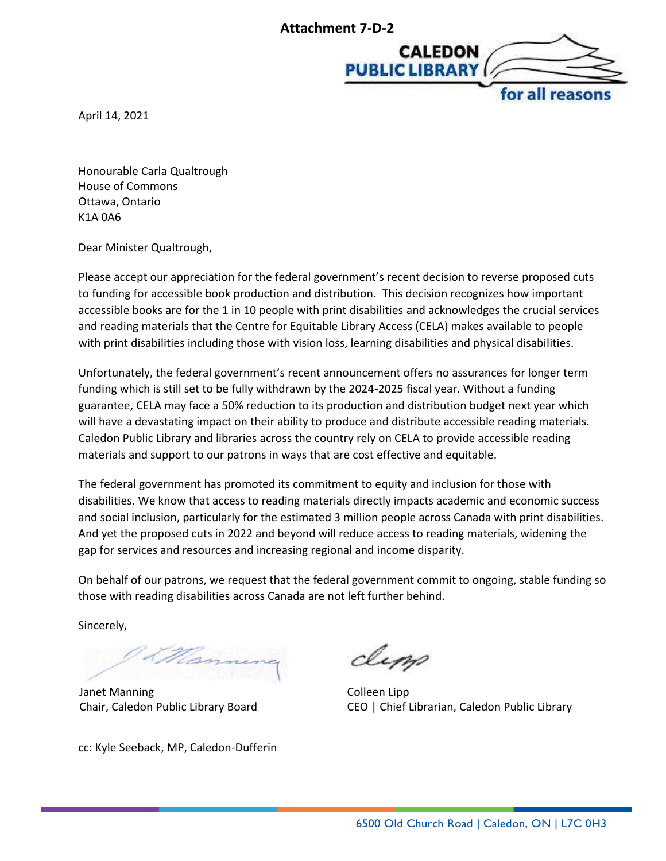

<span id="page-14-0"></span>April 14, 2021

Honourable Carla Qualtrough House of Commons Ottawa, Ontario K1A 0A6

Dear Minister Qualtrough,

Please accept our appreciation for the federal government's recent decision to reverse proposed cuts to funding for accessible book production and distribution. This decision recognizes how important accessible books are for the 1 in 10 people with print disabilities and acknowledges the crucial services and reading materials that the Centre for Equitable Library Access (CELA) makes available to people with print disabilities including those with vision loss, learning disabilities and physical disabilities.

Unfortunately, the federal government's recent announcement offers no assurances for longer term funding which is still set to be fully withdrawn by the 2024-2025 fiscal year. Without a funding guarantee, CELA may face a 50% reduction to its production and distribution budget next year which will have a devastating impact on their ability to produce and distribute accessible reading materials. Caledon Public Library and libraries across the country rely on CELA to provide accessible reading materials and support to our patrons in ways that are cost effective and equitable.

The federal government has promoted its commitment to equity and inclusion for those with disabilities. We know that access to reading materials directly impacts academic and economic success and social inclusion, particularly for the estimated 3 million people across Canada with print disabilities. And yet the proposed cuts in 2022 and beyond will reduce access to reading materials, widening the gap for services and resources and increasing regional and income disparity.

On behalf of our patrons, we request that the federal government commit to ongoing, stable funding so those with reading disabilities across Canada are not left further behind.

Sincerely,

Janet Manning Chair, Caledon Public Library Board

cc: Kyle Seeback, MP, Caledon-Dufferin

dipp

Colleen Lipp CEO | Chief Librarian, Caledon Public Library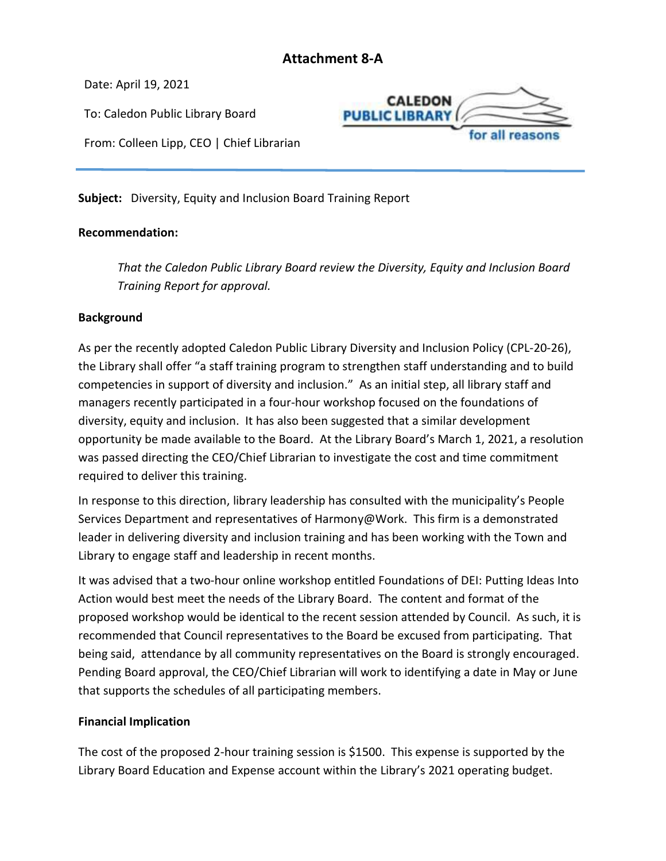# **Attachment 8-A**

<span id="page-15-0"></span>Date: April 19, 2021

To: Caledon Public Library Board

**CALEDON PUBLIC LIBRARY** for all reasor

From: Colleen Lipp, CEO | Chief Librarian

**Subject:** Diversity, Equity and Inclusion Board Training Report

# **Recommendation:**

*That the Caledon Public Library Board review the Diversity, Equity and Inclusion Board Training Report for approval.*

# **Background**

As per the recently adopted Caledon Public Library Diversity and Inclusion Policy (CPL-20-26), the Library shall offer "a staff training program to strengthen staff understanding and to build competencies in support of diversity and inclusion." As an initial step, all library staff and managers recently participated in a four-hour workshop focused on the foundations of diversity, equity and inclusion. It has also been suggested that a similar development opportunity be made available to the Board. At the Library Board's March 1, 2021, a resolution was passed directing the CEO/Chief Librarian to investigate the cost and time commitment required to deliver this training.

In response to this direction, library leadership has consulted with the municipality's People Services Department and representatives of Harmony@Work. This firm is a demonstrated leader in delivering diversity and inclusion training and has been working with the Town and Library to engage staff and leadership in recent months.

It was advised that a two-hour online workshop entitled Foundations of DEI: Putting Ideas Into Action would best meet the needs of the Library Board. The content and format of the proposed workshop would be identical to the recent session attended by Council. As such, it is recommended that Council representatives to the Board be excused from participating. That being said, attendance by all community representatives on the Board is strongly encouraged. Pending Board approval, the CEO/Chief Librarian will work to identifying a date in May or June that supports the schedules of all participating members.

# **Financial Implication**

The cost of the proposed 2-hour training session is \$1500. This expense is supported by the Library Board Education and Expense account within the Library's 2021 operating budget.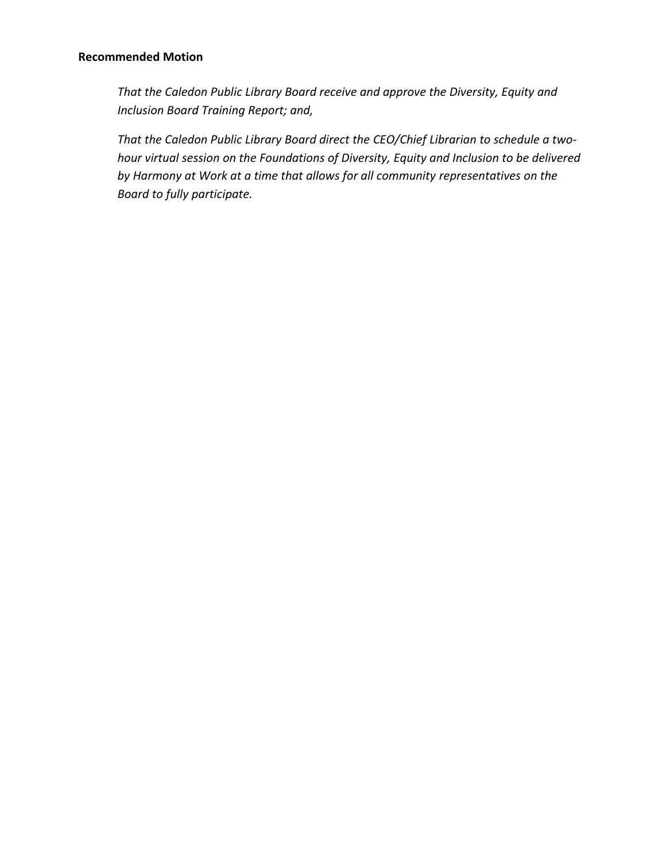# **Recommended Motion**

*That the Caledon Public Library Board receive and approve the Diversity, Equity and Inclusion Board Training Report; and,*

*That the Caledon Public Library Board direct the CEO/Chief Librarian to schedule a twohour virtual session on the Foundations of Diversity, Equity and Inclusion to be delivered by Harmony at Work at a time that allows for all community representatives on the Board to fully participate.*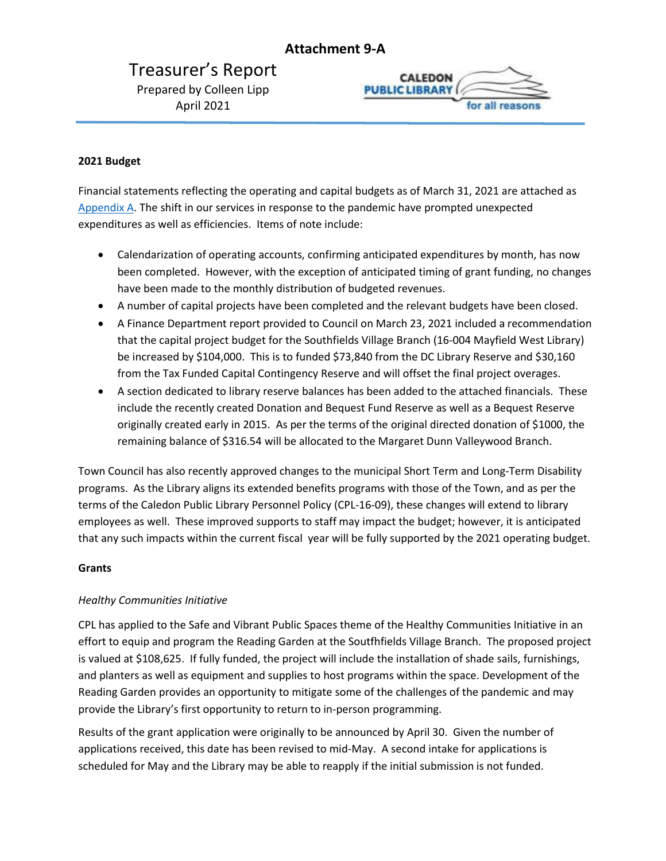# **Attachment 9-A**

<span id="page-17-0"></span>Treasurer's Report Prepared by Colleen Lipp April 2021



### <span id="page-17-1"></span>**2021 Budget**

Financial statements reflecting the operating and capital budgets as of March 31, 2021 are attached as [Appendix A.](#page-17-1) The shift in our services in response to the pandemic have prompted unexpected expenditures as well as efficiencies. Items of note include:

- Calendarization of operating accounts, confirming anticipated expenditures by month, has now been completed. However, with the exception of anticipated timing of grant funding, no changes have been made to the monthly distribution of budgeted revenues.
- A number of capital projects have been completed and the relevant budgets have been closed.
- A Finance Department report provided to Council on March 23, 2021 included a recommendation that the capital project budget for the Southfields Village Branch (16-004 Mayfield West Library) be increased by \$104,000. This is to funded \$73,840 from the DC Library Reserve and \$30,160 from the Tax Funded Capital Contingency Reserve and will offset the final project overages.
- A section dedicated to library reserve balances has been added to the attached financials. These include the recently created Donation and Bequest Fund Reserve as well as a Bequest Reserve originally created early in 2015. As per the terms of the original directed donation of \$1000, the remaining balance of \$316.54 will be allocated to the Margaret Dunn Valleywood Branch.

Town Council has also recently approved changes to the municipal Short Term and Long-Term Disability programs. As the Library aligns its extended benefits programs with those of the Town, and as per the terms of the Caledon Public Library Personnel Policy (CPL-16-09), these changes will extend to library employees as well. These improved supports to staff may impact the budget; however, it is anticipated that any such impacts within the current fiscal year will be fully supported by the 2021 operating budget.

### **Grants**

### *Healthy Communities Initiative*

CPL has applied to the Safe and Vibrant Public Spaces theme of the Healthy Communities Initiative in an effort to equip and program the Reading Garden at the Soutfhfields Village Branch. The proposed project is valued at \$108,625. If fully funded, the project will include the installation of shade sails, furnishings, and planters as well as equipment and supplies to host programs within the space. Development of the Reading Garden provides an opportunity to mitigate some of the challenges of the pandemic and may provide the Library's first opportunity to return to in-person programming.

Results of the grant application were originally to be announced by April 30. Given the number of applications received, this date has been revised to mid-May. A second intake for applications is scheduled for May and the Library may be able to reapply if the initial submission is not funded.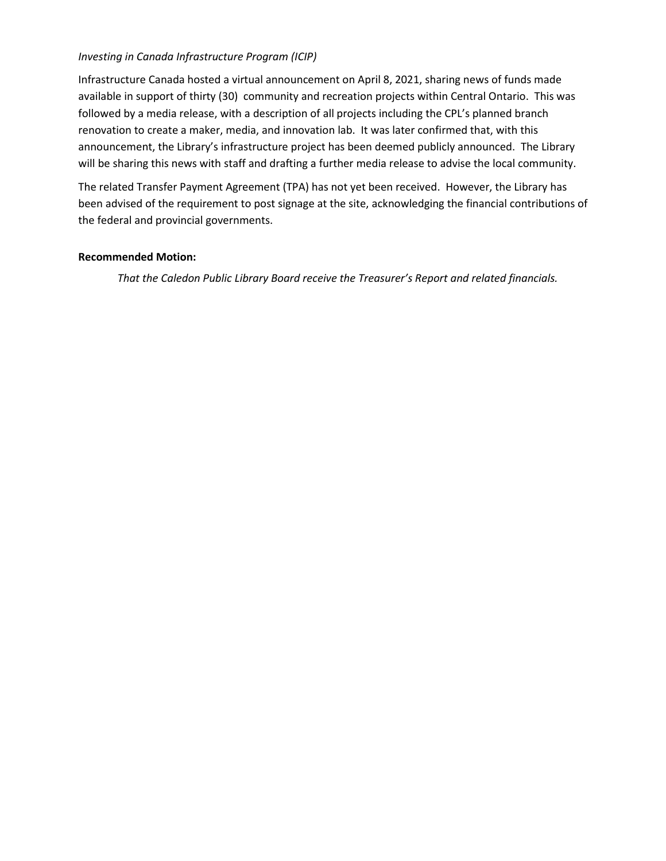# *Investing in Canada Infrastructure Program (ICIP)*

Infrastructure Canada hosted a virtual announcement on April 8, 2021, sharing news of funds made available in support of thirty (30) community and recreation projects within Central Ontario. This was followed by a media release, with a description of all projects including the CPL's planned branch renovation to create a maker, media, and innovation lab. It was later confirmed that, with this announcement, the Library's infrastructure project has been deemed publicly announced. The Library will be sharing this news with staff and drafting a further media release to advise the local community.

The related Transfer Payment Agreement (TPA) has not yet been received. However, the Library has been advised of the requirement to post signage at the site, acknowledging the financial contributions of the federal and provincial governments.

### **Recommended Motion:**

*That the Caledon Public Library Board receive the Treasurer's Report and related financials.*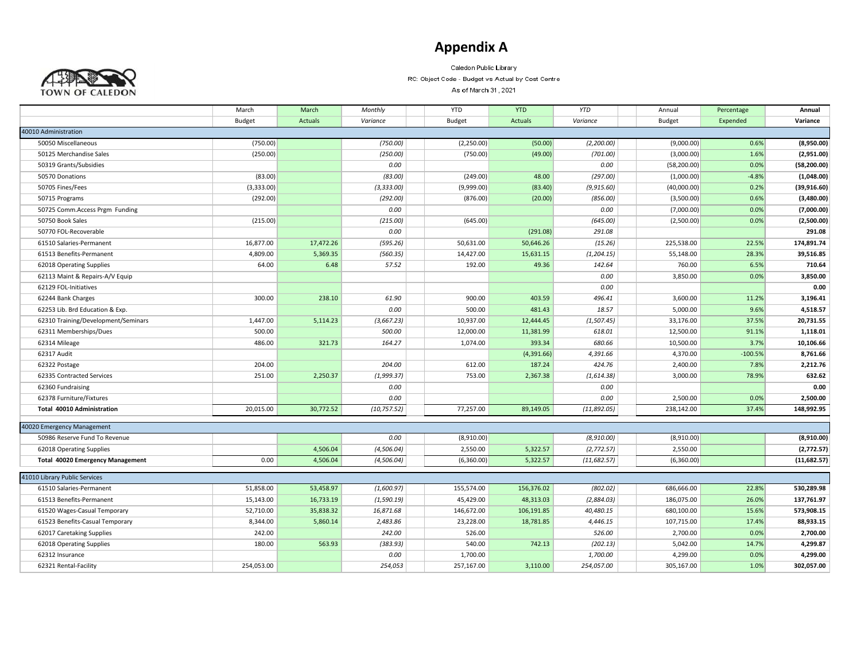# **Appendix A**



Caledon Public Library

RC: Object Code - Budget vs Actual by Cost Centre

As of March 31, 2021

|                                         | March      | March          | Monthly      | <b>YTD</b>    | <b>YTD</b>     | <b>YTD</b>  | Annual        | Percentage | Annual       |
|-----------------------------------------|------------|----------------|--------------|---------------|----------------|-------------|---------------|------------|--------------|
|                                         | Budget     | <b>Actuals</b> | Variance     | <b>Budget</b> | <b>Actuals</b> | Variance    | <b>Budget</b> | Expended   | Variance     |
| 40010 Administration                    |            |                |              |               |                |             |               |            |              |
| 50050 Miscellaneous                     | (750.00)   |                | (750.00)     | (2,250.00)    | (50.00)        | (2,200.00)  | (9,000.00)    | 0.6%       | (8,950.00)   |
| 50125 Merchandise Sales                 | (250.00)   |                | (250.00)     | (750.00)      | (49.00)        | (701.00)    | (3,000.00)    | 1.6%       | (2,951.00)   |
| 50319 Grants/Subsidies                  |            |                | 0.00         |               |                | 0.00        | (58, 200.00)  | 0.0%       | (58, 200.00) |
| 50570 Donations                         | (83.00)    |                | (83.00)      | (249.00)      | 48.00          | (297.00)    | (1,000.00)    | $-4.8%$    | (1,048.00)   |
| 50705 Fines/Fees                        | (3,333.00) |                | (3, 333.00)  | (9,999.00)    | (83.40)        | (9,915.60)  | (40,000.00)   | 0.2%       | (39,916.60)  |
| 50715 Programs                          | (292.00)   |                | (292.00)     | (876.00)      | (20.00)        | (856.00)    | (3,500.00)    | 0.6%       | (3,480.00)   |
| 50725 Comm.Access Prgm Funding          |            |                | 0.00         |               |                | 0.00        | (7,000.00)    | 0.0%       | (7,000.00)   |
| 50750 Book Sales                        | (215.00)   |                | (215.00)     | (645.00)      |                | (645.00)    | (2,500.00)    | 0.0%       | (2,500.00)   |
| 50770 FOL-Recoverable                   |            |                | 0.00         |               | (291.08)       | 291.08      |               |            | 291.08       |
| 61510 Salaries-Permanent                | 16,877.00  | 17,472.26      | (595.26)     | 50,631.00     | 50,646.26      | (15.26)     | 225,538.00    | 22.5%      | 174,891.74   |
| 61513 Benefits-Permanent                | 4,809.00   | 5,369.35       | (560.35)     | 14,427.00     | 15,631.15      | (1, 204.15) | 55,148.00     | 28.3%      | 39,516.85    |
| 62018 Operating Supplies                | 64.00      | 6.48           | 57.52        | 192.00        | 49.36          | 142.64      | 760.00        | 6.5%       | 710.64       |
| 62113 Maint & Repairs-A/V Equip         |            |                |              |               |                | 0.00        | 3,850.00      | 0.0%       | 3,850.00     |
| 62129 FOL-Initiatives                   |            |                |              |               |                | 0.00        |               |            | 0.00         |
| 62244 Bank Charges                      | 300.00     | 238.10         | 61.90        | 900.00        | 403.59         | 496.41      | 3,600.00      | 11.2%      | 3,196.41     |
| 62253 Lib. Brd Education & Exp.         |            |                | 0.00         | 500.00        | 481.43         | 18.57       | 5,000.00      | 9.6%       | 4,518.57     |
| 62310 Training/Development/Seminars     | 1,447.00   | 5,114.23       | (3,667.23)   | 10,937.00     | 12,444.45      | (1,507.45)  | 33,176.00     | 37.5%      | 20,731.55    |
| 62311 Memberships/Dues                  | 500.00     |                | 500.00       | 12,000.00     | 11,381.99      | 618.01      | 12,500.00     | 91.1%      | 1,118.01     |
| 62314 Mileage                           | 486.00     | 321.73         | 164.27       | 1,074.00      | 393.34         | 680.66      | 10,500.00     | 3.7%       | 10,106.66    |
| 62317 Audit                             |            |                |              |               | (4,391.66)     | 4,391.66    | 4,370.00      | $-100.5%$  | 8,761.66     |
| 62322 Postage                           | 204.00     |                | 204.00       | 612.00        | 187.24         | 424.76      | 2,400.00      | 7.8%       | 2,212.76     |
| 62335 Contracted Services               | 251.00     | 2,250.37       | (1,999.37)   | 753.00        | 2,367.38       | (1,614.38)  | 3,000.00      | 78.9%      | 632.62       |
| 62360 Fundraising                       |            |                | 0.00         |               |                | 0.00        |               |            | 0.00         |
| 62378 Furniture/Fixtures                |            |                | 0.00         |               |                | 0.00        | 2,500.00      | 0.0%       | 2,500.00     |
| Total 40010 Administration              | 20,015.00  | 30,772.52      | (10, 757.52) | 77,257.00     | 89,149.05      | (11,892.05) | 238,142.00    | 37.4%      | 148,992.95   |
| 40020 Emergency Management              |            |                |              |               |                |             |               |            |              |
| 50986 Reserve Fund To Revenue           |            |                | 0.00         | (8,910.00)    |                | (8,910.00)  | (8,910.00)    |            | (8,910.00)   |
| 62018 Operating Supplies                |            | 4,506.04       | (4,506.04)   | 2,550.00      | 5,322.57       | (2, 772.57) | 2,550.00      |            | (2,772.57)   |
| <b>Total 40020 Emergency Management</b> | 0.00       | 4,506.04       | (4,506.04)   | (6,360.00)    | 5,322.57       | (11,682.57) | (6,360.00)    |            | (11,682.57)  |
|                                         |            |                |              |               |                |             |               |            |              |
| 41010 Library Public Services           |            |                |              |               |                |             |               |            |              |
| 61510 Salaries-Permanent                | 51,858.00  | 53,458.97      | (1,600.97)   | 155,574.00    | 156,376.02     | (802.02)    | 686,666.00    | 22.8%      | 530,289.98   |
| 61513 Benefits-Permanent                | 15,143.00  | 16,733.19      | (1,590.19)   | 45,429.00     | 48,313.03      | (2,884.03)  | 186,075.00    | 26.0%      | 137,761.97   |
| 61520 Wages-Casual Temporary            | 52,710.00  | 35,838.32      | 16,871.68    | 146,672.00    | 106,191.85     | 40,480.15   | 680,100.00    | 15.6%      | 573,908.15   |
| 61523 Benefits-Casual Temporary         | 8,344.00   | 5,860.14       | 2,483.86     | 23,228.00     | 18,781.85      | 4,446.15    | 107,715.00    | 17.4%      | 88,933.15    |
| 62017 Caretaking Supplies               | 242.00     |                | 242.00       | 526.00        |                | 526.00      | 2,700.00      | 0.0%       | 2,700.00     |
| 62018 Operating Supplies                | 180.00     | 563.93         | (383.93)     | 540.00        | 742.13         | (202.13)    | 5,042.00      | 14.7%      | 4,299.87     |
| 62312 Insurance                         |            |                | 0.00         | 1,700.00      |                | 1,700.00    | 4,299.00      | 0.0%       | 4,299.00     |
| 62321 Rental-Facility                   | 254,053.00 |                | 254,053      | 257,167.00    | 3,110.00       | 254,057.00  | 305,167.00    | 1.0%       | 302,057.00   |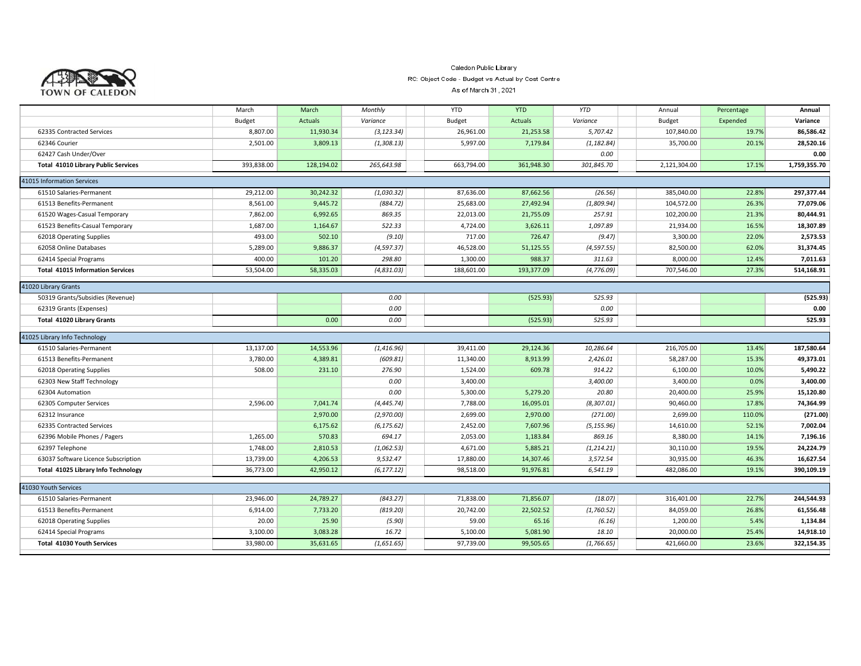

### Caledon Public Library RC: Object Code - Budget vs Actual by Cost Centre

As of March 31, 2021

|                                            | March      | March          | Monthly     | <b>YTD</b> | <b>YTD</b>     | <b>YTD</b>  | Annual        | Percentage | Annual       |
|--------------------------------------------|------------|----------------|-------------|------------|----------------|-------------|---------------|------------|--------------|
|                                            | Budget     | <b>Actuals</b> | Variance    | Budget     | <b>Actuals</b> | Variance    | <b>Budget</b> | Expended   | Variance     |
| 62335 Contracted Services                  | 8,807.00   | 11,930.34      | (3, 123.34) | 26,961.00  | 21,253.58      | 5,707.42    | 107,840.00    | 19.7%      | 86,586.42    |
| 62346 Courier                              | 2.501.00   | 3.809.13       | (1,308.13)  | 5.997.00   | 7,179.84       | (1, 182.84) | 35.700.00     | 20.1%      | 28,520.16    |
| 62427 Cash Under/Over                      |            |                |             |            |                | 0.00        |               |            | 0.00         |
| <b>Total 41010 Library Public Services</b> | 393,838.00 | 128,194.02     | 265,643.98  | 663,794.00 | 361,948.30     | 301,845.70  | 2,121,304.00  | 17.1%      | 1,759,355.70 |
| 41015 Information Services                 |            |                |             |            |                |             |               |            |              |
| 61510 Salaries-Permanent                   | 29,212.00  | 30,242.32      | (1,030.32)  | 87,636.00  | 87,662.56      | (26.56)     | 385,040.00    | 22.8%      | 297,377.44   |
| 61513 Benefits-Permanent                   | 8,561.00   | 9,445.72       | (884.72)    | 25,683.00  | 27,492.94      | (1,809.94)  | 104,572.00    | 26.3%      | 77,079.06    |
| 61520 Wages-Casual Temporary               | 7,862.00   | 6,992.65       | 869.35      | 22,013.00  | 21,755.09      | 257.91      | 102,200.00    | 21.3%      | 80,444.91    |
| 61523 Benefits-Casual Temporary            | 1,687.00   | 1,164.67       | 522.33      | 4,724.00   | 3,626.11       | 1,097.89    | 21,934.00     | 16.5%      | 18,307.89    |
| 62018 Operating Supplies                   | 493.00     | 502.10         | (9.10)      | 717.00     | 726.47         | (9.47)      | 3,300.00      | 22.0%      | 2,573.53     |
| 62058 Online Databases                     | 5,289.00   | 9,886.37       | (4, 597.37) | 46,528.00  | 51,125.55      | (4, 597.55) | 82,500.00     | 62.0%      | 31,374.45    |
| 62414 Special Programs                     | 400.00     | 101.20         | 298.80      | 1,300.00   | 988.37         | 311.63      | 8,000.00      | 12.4%      | 7,011.63     |
| <b>Total 41015 Information Services</b>    | 53,504.00  | 58,335.03      | (4,831.03)  | 188,601.00 | 193,377.09     | (4, 776.09) | 707,546.00    | 27.3%      | 514,168.91   |
| 41020 Library Grants                       |            |                |             |            |                |             |               |            |              |
| 50319 Grants/Subsidies (Revenue)           |            |                | 0.00        |            | (525.93)       | 525.93      |               |            | (525.93)     |
| 62319 Grants (Expenses)                    |            |                | 0.00        |            |                | 0.00        |               |            | 0.00         |
| Total 41020 Library Grants                 |            | 0.00           | 0.00        |            | (525.93)       | 525.93      |               |            | 525.93       |
| 41025 Library Info Technology              |            |                |             |            |                |             |               |            |              |
| 61510 Salaries-Permanent                   | 13,137.00  | 14,553.96      | (1, 416.96) | 39,411.00  | 29,124.36      | 10,286.64   | 216,705.00    | 13.4%      | 187,580.64   |
| 61513 Benefits-Permanent                   | 3,780.00   | 4,389.81       | (609.81)    | 11,340.00  | 8,913.99       | 2,426.01    | 58,287.00     | 15.3%      | 49,373.01    |
| 62018 Operating Supplies                   | 508.00     | 231.10         | 276.90      | 1,524.00   | 609.78         | 914.22      | 6,100.00      | 10.0%      | 5,490.22     |
| 62303 New Staff Technology                 |            |                | 0.00        | 3,400.00   |                | 3,400.00    | 3,400.00      | 0.0%       | 3,400.00     |
| 62304 Automation                           |            |                | 0.00        | 5,300.00   | 5,279.20       | 20.80       | 20,400.00     | 25.9%      | 15,120.80    |
| 62305 Computer Services                    | 2,596.00   | 7,041.74       | (4, 445.74) | 7,788.00   | 16,095.01      | (8, 307.01) | 90,460.00     | 17.8%      | 74,364.99    |
| 62312 Insurance                            |            | 2,970.00       | (2,970.00)  | 2,699.00   | 2,970.00       | (271.00)    | 2,699.00      | 110.0%     | (271.00)     |
| 62335 Contracted Services                  |            | 6,175.62       | (6, 175.62) | 2,452.00   | 7,607.96       | (5, 155.96) | 14,610.00     | 52.1%      | 7,002.04     |
| 62396 Mobile Phones / Pagers               | 1,265.00   | 570.83         | 694.17      | 2,053.00   | 1,183.84       | 869.16      | 8,380.00      | 14.1%      | 7,196.16     |
| 62397 Telephone                            | 1,748.00   | 2,810.53       | (1,062.53)  | 4,671.00   | 5,885.21       | (1, 214.21) | 30,110.00     | 19.5%      | 24,224.79    |
| 63037 Software Licence Subscription        | 13,739.00  | 4,206.53       | 9,532.47    | 17,880.00  | 14,307.46      | 3,572.54    | 30,935.00     | 46.3%      | 16,627.54    |
| Total 41025 Library Info Technology        | 36,773.00  | 42,950.12      | (6, 177.12) | 98,518.00  | 91,976.81      | 6,541.19    | 482,086.00    | 19.1%      | 390,109.19   |
| 41030 Youth Services                       |            |                |             |            |                |             |               |            |              |
| 61510 Salaries-Permanent                   | 23,946.00  | 24,789.27      | (843.27)    | 71,838.00  | 71,856.07      | (18.07)     | 316,401.00    | 22.7%      | 244,544.93   |
| 61513 Benefits-Permanent                   | 6,914.00   | 7,733.20       | (819.20)    | 20,742.00  | 22,502.52      | (1,760.52)  | 84,059.00     | 26.8%      | 61,556.48    |
| 62018 Operating Supplies                   | 20.00      | 25.90          | (5.90)      | 59.00      | 65.16          | (6.16)      | 1,200.00      | 5.4%       | 1,134.84     |
| 62414 Special Programs                     | 3,100.00   | 3,083.28       | 16.72       | 5,100.00   | 5,081.90       | 18.10       | 20,000.00     | 25.4%      | 14,918.10    |
| <b>Total 41030 Youth Services</b>          | 33,980.00  | 35,631.65      | (1,651.65)  | 97,739.00  | 99,505.65      | (1,766.65)  | 421,660.00    | 23.6%      | 322,154.35   |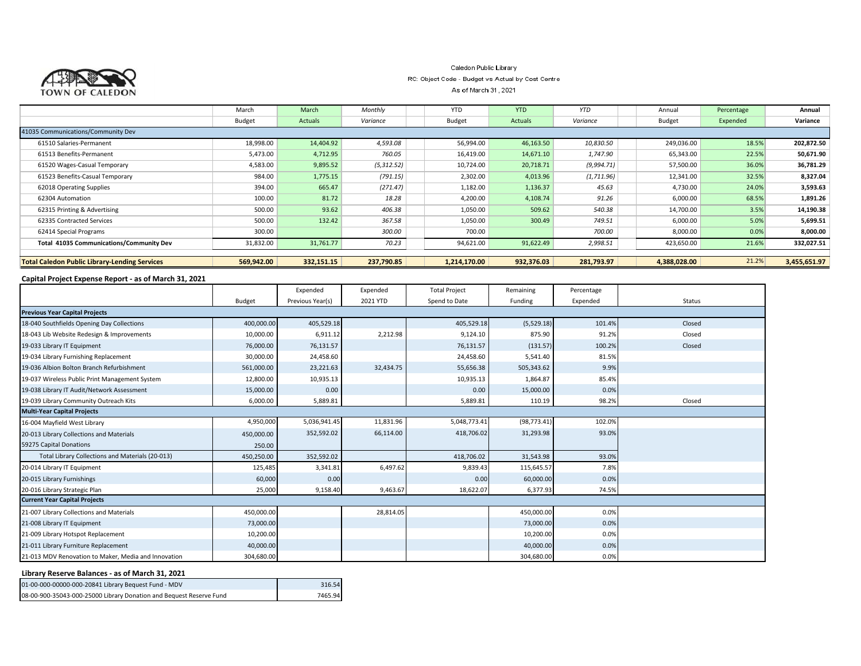

### Caledon Public Library RC: Object Code - Budget vs Actual by Cost Centre

As of March 31, 2021

|                                                      | March         | March      | Monthly    | <b>YTD</b>    | <b>YTD</b> | <b>YTD</b> | Annual        | Percentage | Annual       |
|------------------------------------------------------|---------------|------------|------------|---------------|------------|------------|---------------|------------|--------------|
|                                                      | <b>Budget</b> | Actuals    | Variance   | <b>Budget</b> | Actuals    | Variance   | <b>Budget</b> | Expended   | Variance     |
| 41035 Communications/Community Dev                   |               |            |            |               |            |            |               |            |              |
| 61510 Salaries-Permanent                             | 18,998.00     | 14,404.92  | 4,593.08   | 56,994.00     | 46,163.50  | 10,830.50  | 249,036.00    | 18.5%      | 202,872.50   |
| 61513 Benefits-Permanent                             | 5,473.00      | 4,712.95   | 760.05     | 16,419.00     | 14,671.10  | 1,747.90   | 65,343.00     | 22.5%      | 50,671.90    |
| 61520 Wages-Casual Temporary                         | 4,583.00      | 9,895.52   | (5,312.52) | 10,724.00     | 20,718.71  | (9,994.71) | 57,500.00     | 36.0%      | 36,781.29    |
| 61523 Benefits-Casual Temporary                      | 984.00        | 1,775.15   | (791.15)   | 2,302.00      | 4,013.96   | (1,711.96) | 12,341.00     | 32.5%      | 8,327.04     |
| 62018 Operating Supplies                             | 394.00        | 665.47     | (271.47)   | 1,182.00      | 1,136.37   | 45.63      | 4,730.00      | 24.0%      | 3,593.63     |
| 62304 Automation                                     | 100.00        | 81.72      | 18.28      | 4,200.00      | 4,108.74   | 91.26      | 6,000.00      | 68.5%      | 1,891.26     |
| 62315 Printing & Advertising                         | 500.00        | 93.62      | 406.38     | 1,050.00      | 509.62     | 540.38     | 14,700.00     | 3.5%       | 14,190.38    |
| 62335 Contracted Services                            | 500.00        | 132.42     | 367.58     | 1,050.00      | 300.49     | 749.51     | 6,000.00      | 5.0%       | 5,699.51     |
| 62414 Special Programs                               | 300.00        |            | 300.00     | 700.00        |            | 700.00     | 8,000.00      | 0.0%       | 8,000.00     |
| Total 41035 Communications/Community Dev             | 31,832.00     | 31,761.77  | 70.23      | 94,621.00     | 91,622.49  | 2,998.51   | 423,650.00    | 21.6%      | 332,027.51   |
|                                                      |               |            |            |               |            |            |               |            |              |
| <b>Total Caledon Public Library-Lending Services</b> | 569,942.00    | 332,151.15 | 237,790.85 | 1,214,170.00  | 932,376.03 | 281,793.97 | 4,388,028.00  | 21.2%      | 3,455,651.97 |
|                                                      |               |            |            |               |            |            |               |            |              |

#### **Capital Project Expense Report - as of March 31, 2021**

|                                                      |               | Expended         | Expended  | <b>Total Project</b> | Remaining    | Percentage |        |
|------------------------------------------------------|---------------|------------------|-----------|----------------------|--------------|------------|--------|
|                                                      | <b>Budget</b> | Previous Year(s) | 2021 YTD  | Spend to Date        | Funding      | Expended   | Status |
| <b>Previous Year Capital Projects</b>                |               |                  |           |                      |              |            |        |
| 18-040 Southfields Opening Day Collections           | 400,000.00    | 405,529.18       |           | 405,529.18           | (5,529.18)   | 101.4%     | Closed |
| 18-043 Lib Website Redesign & Improvements           | 10,000.00     | 6,911.12         | 2,212.98  | 9,124.10             | 875.90       | 91.2%      | Closed |
| 19-033 Library IT Equipment                          | 76,000.00     | 76,131.57        |           | 76,131.57            | (131.57)     | 100.2%     | Closed |
| 19-034 Library Furnishing Replacement                | 30,000.00     | 24,458.60        |           | 24,458.60            | 5,541.40     | 81.5%      |        |
| 19-036 Albion Bolton Branch Refurbishment            | 561,000.00    | 23,221.63        | 32,434.75 | 55,656.38            | 505,343.62   | 9.9%       |        |
| 19-037 Wireless Public Print Management System       | 12,800.00     | 10,935.13        |           | 10,935.13            | 1,864.87     | 85.4%      |        |
| 19-038 Library IT Audit/Network Assessment           | 15,000.00     | 0.00             |           | 0.00                 | 15,000.00    | 0.0%       |        |
| 19-039 Library Community Outreach Kits               | 6,000.00      | 5,889.81         |           | 5,889.81             | 110.19       | 98.2%      | Closed |
| <b>Multi-Year Capital Projects</b>                   |               |                  |           |                      |              |            |        |
| 16-004 Mayfield West Library                         | 4,950,000     | 5,036,941.45     | 11,831.96 | 5,048,773.41         | (98, 773.41) | 102.0%     |        |
| 20-013 Library Collections and Materials             | 450,000.00    | 352,592.02       | 66,114.00 | 418,706.02           | 31,293.98    | 93.0%      |        |
| 59275 Capital Donations                              | 250.00        |                  |           |                      |              |            |        |
| Total Library Collections and Materials (20-013)     | 450,250.00    | 352,592.02       |           | 418,706.02           | 31,543.98    | 93.0%      |        |
| 20-014 Library IT Equipment                          | 125,485       | 3,341.81         | 6,497.62  | 9,839.43             | 115,645.57   | 7.8%       |        |
| 20-015 Library Furnishings                           | 60,000        | 0.00             |           | 0.00                 | 60,000.00    | 0.0%       |        |
| 20-016 Library Strategic Plan                        | 25,000        | 9,158.40         | 9,463.67  | 18,622.07            | 6,377.93     | 74.5%      |        |
| <b>Current Year Capital Projects</b>                 |               |                  |           |                      |              |            |        |
| 21-007 Library Collections and Materials             | 450,000.00    |                  | 28,814.05 |                      | 450,000.00   | 0.0%       |        |
| 21-008 Library IT Equipment                          | 73,000.00     |                  |           |                      | 73,000.00    | 0.0%       |        |
| 21-009 Library Hotspot Replacement                   | 10,200.00     |                  |           |                      | 10,200.00    | 0.0%       |        |
| 21-011 Library Furniture Replacement                 | 40,000.00     |                  |           |                      | 40,000.00    | 0.0%       |        |
| 21-013 MDV Renovation to Maker, Media and Innovation | 304,680.00    |                  |           |                      | 304,680.00   | 0.0%       |        |

#### **Library Reserve Balances - as of March 31, 2021**

|                                                                     | 316.54  |
|---------------------------------------------------------------------|---------|
| 08-00-900-35043-000-25000 Library Donation and Bequest Reserve Fund | 7465 94 |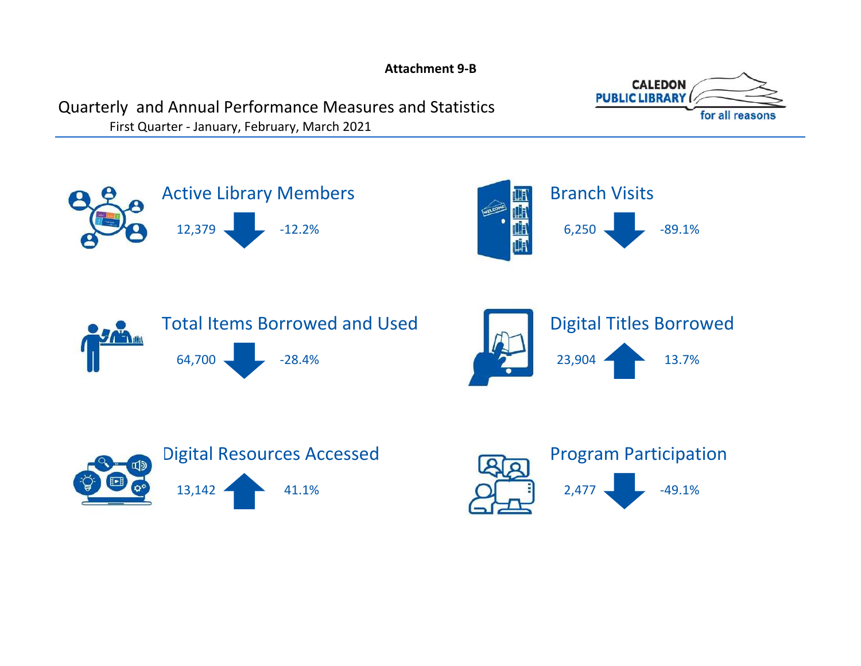**Attachment 9-B**



# <span id="page-22-0"></span>Quarterly and Annual Performance Measures and Statistics

First Quarter - January, February, March 2021











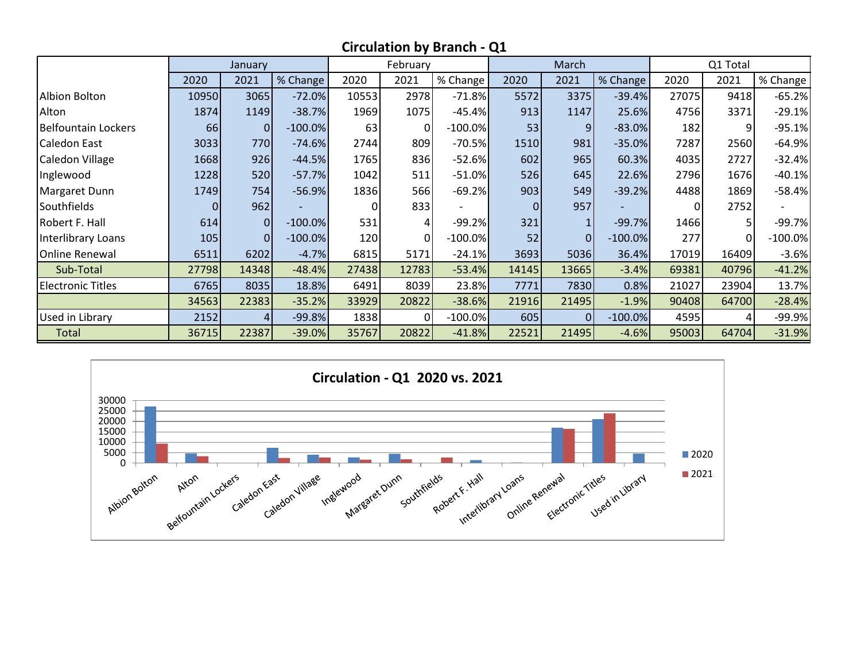|                            |          | January        |            |       | February     |            |                | March          |           |          | Q1 Total    |            |
|----------------------------|----------|----------------|------------|-------|--------------|------------|----------------|----------------|-----------|----------|-------------|------------|
|                            | 2020     | 2021           | % Change   | 2020  | 2021         | % Change   | 2020           | 2021           | % Change  | 2020     | 2021        | % Change ' |
| Albion Bolton              | 10950    | 3065           | $-72.0%$   | 10553 | 2978         | $-71.8%$   | 5572           | 3375           | $-39.4%$  | 27075    | 9418        | $-65.2%$   |
| Alton                      | 1874     | 1149           | $-38.7%$   | 1969  | 1075         | $-45.4%$   | 913            | 1147           | 25.6%     | 4756     | 3371        | $-29.1%$   |
| <b>Belfountain Lockers</b> | 66       | $\overline{0}$ | $-100.0\%$ | 63    | $\Omega$     | $-100.0\%$ | 53             | 9              | $-83.0%$  | 182      | 9           | $-95.1%$   |
| Caledon East               | 3033     | 770            | $-74.6%$   | 2744  | 809          | $-70.5%$   | 1510           | 981            | $-35.0%$  | 7287     | 2560        | $-64.9%$   |
| Caledon Village            | 1668     | 926            | $-44.5%$   | 1765  | 836          | $-52.6%$   | 602            | 965            | 60.3%     | 4035     | 2727        | $-32.4%$   |
| Inglewood                  | 1228     | 520            | $-57.7%$   | 1042  | 511          | $-51.0\%$  | 526            | 645            | 22.6%     | 2796     | 1676        | $-40.1%$   |
| Margaret Dunn              | 1749     | 754            | $-56.9%$   | 1836  | 566          | $-69.2%$   | 903            | 549            | $-39.2%$  | 4488     | 1869        | $-58.4%$   |
| Southfields                | $\Omega$ | 962            |            |       | 833          |            | $\overline{0}$ | 957            |           | $\Omega$ | 2752        |            |
| Robert F. Hall             | 614      | $\overline{0}$ | $-100.0\%$ | 531   | 4            | $-99.2%$   | 321            |                | $-99.7%$  | 1466     | 5           | $-99.7%$   |
| Interlibrary Loans         | 105      | $\overline{0}$ | $-100.0\%$ | 120   | <sup>0</sup> | $-100.0\%$ | 52             | $\overline{0}$ | $-100.0%$ | 277      | $\mathbf 0$ | $-100.0\%$ |
| <b>Online Renewal</b>      | 6511     | 6202           | $-4.7%$    | 6815  | 5171         | $-24.1%$   | 3693           | 5036           | 36.4%     | 17019    | 16409       | $-3.6%$    |
| Sub-Total                  | 27798    | 14348          | $-48.4%$   | 27438 | 12783        | $-53.4%$   | 14145          | 13665          | $-3.4%$   | 69381    | 40796       | $-41.2%$   |
| <b>Electronic Titles</b>   | 6765     | 8035           | 18.8%      | 6491  | 8039         | 23.8%      | 7771           | 7830           | 0.8%      | 21027    | 23904       | 13.7%      |
|                            | 34563    | 22383          | $-35.2%$   | 33929 | 20822        | $-38.6%$   | 21916          | 21495          | $-1.9%$   | 90408    | 64700       | $-28.4%$   |
| Used in Library            | 2152     | $\overline{4}$ | $-99.8%$   | 1838  | $\Omega$     | $-100.0\%$ | 605            | $\overline{0}$ | $-100.0%$ | 4595     | 4           | $-99.9%$   |
| <b>Total</b>               | 36715    | 22387          | $-39.0%$   | 35767 | 20822        | $-41.8%$   | 22521          | 21495          | $-4.6%$   | 95003    | 64704       | $-31.9%$   |



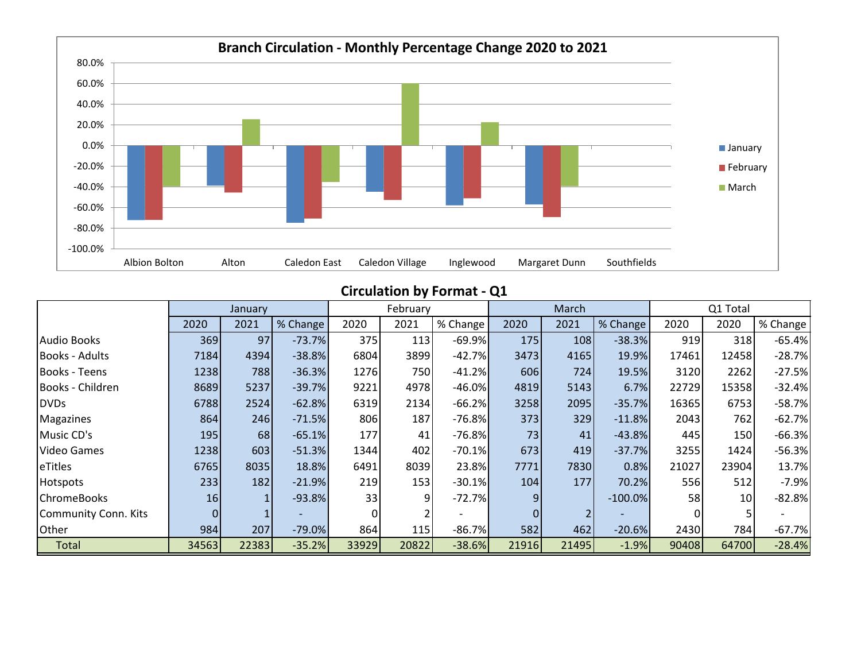

**Circulation by Format - Q1**

|                       |          | January |          |          | February |          |                | March |           |       | Q1 Total |          |
|-----------------------|----------|---------|----------|----------|----------|----------|----------------|-------|-----------|-------|----------|----------|
|                       | 2020     | 2021    | % Change | 2020     | 2021     | % Change | 2020           | 2021  | % Change  | 2020  | 2020     | % Change |
| <b>Audio Books</b>    | 369      | 97      | $-73.7%$ | 375      | 113      | $-69.9%$ | 175            | 108   | $-38.3%$  | 919   | 318      | $-65.4%$ |
| <b>Books - Adults</b> | 7184     | 4394    | $-38.8%$ | 6804     | 3899     | $-42.7%$ | 3473           | 4165  | 19.9%     | 17461 | 12458    | $-28.7%$ |
| <b>Books - Teens</b>  | 1238     | 788     | $-36.3%$ | 1276     | 750      | $-41.2%$ | 606            | 724   | 19.5%     | 3120  | 2262     | $-27.5%$ |
| Books - Children      | 8689     | 5237    | $-39.7%$ | 9221     | 4978     | $-46.0%$ | 4819           | 5143  | 6.7%      | 22729 | 15358    | $-32.4%$ |
| <b>DVDs</b>           | 6788     | 2524    | $-62.8%$ | 6319     | 2134     | $-66.2%$ | 3258           | 2095  | $-35.7%$  | 16365 | 6753     | $-58.7%$ |
| Magazines             | 864      | 246     | $-71.5%$ | 806      | 187      | $-76.8%$ | 373            | 329   | $-11.8%$  | 2043  | 762      | $-62.7%$ |
| Music CD's            | 195      | 68      | $-65.1%$ | 177      | 41       | $-76.8%$ | 73             | 41    | $-43.8%$  | 445   | 150      | $-66.3%$ |
| <b>Video Games</b>    | 1238     | 603     | $-51.3%$ | 1344     | 402      | $-70.1%$ | 673            | 419   | $-37.7%$  | 3255  | 1424     | $-56.3%$ |
| eTitles               | 6765     | 8035    | 18.8%    | 6491     | 8039     | 23.8%    | 7771           | 7830  | 0.8%      | 21027 | 23904    | 13.7%    |
| Hotspots              | 233      | 182     | $-21.9%$ | 219      | 153      | $-30.1%$ | 104            | 177   | 70.2%     | 556   | 512      | $-7.9%$  |
| <b>ChromeBooks</b>    | 16       |         | $-93.8%$ | 33       | 9        | $-72.7%$ | 9 <sub>l</sub> |       | $-100.0%$ | 58    | 10       | $-82.8%$ |
| Community Conn. Kits  | $\Omega$ |         |          | $\Omega$ |          |          | $\overline{0}$ |       |           |       |          |          |
| Other                 | 984      | 207     | $-79.0%$ | 864      | 115      | $-86.7%$ | 582            | 462   | $-20.6%$  | 2430  | 784      | $-67.7%$ |
| Total                 | 34563    | 22383   | $-35.2%$ | 33929    | 20822    | $-38.6%$ | 21916          | 21495 | $-1.9%$   | 90408 | 64700    | $-28.4%$ |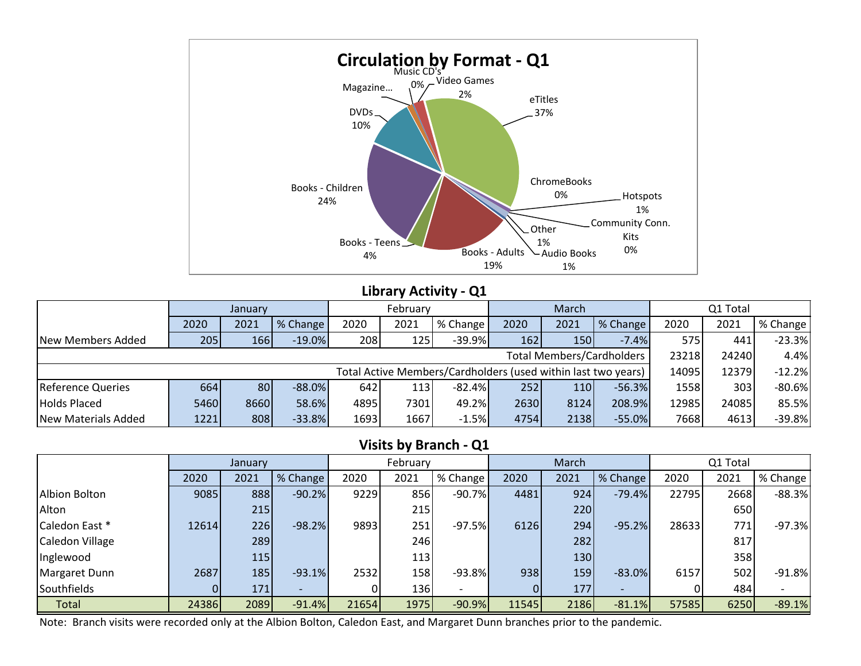

# **Library Activity - Q1**

|                          |      | January |           |      | February |                                                               |      | March |                           | Q1 Total |       |          |
|--------------------------|------|---------|-----------|------|----------|---------------------------------------------------------------|------|-------|---------------------------|----------|-------|----------|
|                          | 2020 | 2021    | % Change  | 2020 | 2021     | % Change                                                      | 2020 | 2021  | % Change                  | 2020     | 2021  | % Change |
| New Members Added        | 205  | 166     | $-19.0\%$ | 208  | 125      | $-39.9%$                                                      | 162  | 150   | $-7.4%$                   | 575      | 441   | $-23.3%$ |
|                          |      |         |           |      |          |                                                               |      |       | Total Members/Cardholders | 23218    | 24240 | 4.4%     |
|                          |      |         |           |      |          | Total Active Members/Cardholders (used within last two years) |      |       |                           | 14095    | 12379 | $-12.2%$ |
| <b>Reference Queries</b> | 664l | 80      | $-88.0%$  | 642  | 113      | $-82.4%$                                                      | 252  | 110   | $-56.3%$                  | 1558     | 303   | $-80.6%$ |
| <b>Holds Placed</b>      | 5460 | 8660    | 58.6%     | 4895 | 7301     | 49.2%                                                         | 2630 | 8124  | 208.9%                    | 12985    | 24085 | 85.5%    |
| New Materials Added      | 1221 | 808     | $-33.8%$  | 1693 | 1667     | $-1.5%$                                                       | 4754 | 2138  | $-55.0%$                  | 7668     | 4613  | $-39.8%$ |

# **Visits by Branch - Q1**

|                      |       | January    |          |       | February   |            |       | March |          |       | Q1 Total |          |
|----------------------|-------|------------|----------|-------|------------|------------|-------|-------|----------|-------|----------|----------|
|                      | 2020  | 2021       | % Change | 2020  | 2021       | ■ % Change | 2020  | 2021  | % Change | 2020  | 2021     | % Change |
| <b>Albion Bolton</b> | 9085  | 888        | $-90.2%$ | 9229  | 856        | $-90.7%$   | 4481  | 924   | $-79.4%$ | 22795 | 2668     | $-88.3%$ |
| Alton                |       | 215        |          |       | 215        |            |       | 220   |          |       | 650      |          |
| Caledon East *       | 12614 | 226        | $-98.2%$ | 9893  | 251        | $-97.5%$   | 6126  | 294   | $-95.2%$ | 28633 | 771      | $-97.3%$ |
| Caledon Village      |       | 289        |          |       | 246        |            |       | 282   |          |       | 817      |          |
| Inglewood            |       | <b>115</b> |          |       | <b>113</b> |            |       | 130   |          |       | 358      |          |
| Margaret Dunn        | 2687  | 185        | $-93.1%$ | 2532  | 158        | $-93.8%$   | 938   | 159   | $-83.0%$ | 6157  | 502      | $-91.8%$ |
| Southfields          |       | 171        |          |       | 136        |            |       | 177   |          |       | 484      |          |
| Total                | 24386 | 2089       | $-91.4%$ | 21654 | 1975       | $-90.9%$   | 11545 | 2186  | $-81.1%$ | 57585 | 6250     | $-89.1%$ |

Note: Branch visits were recorded only at the Albion Bolton, Caledon East, and Margaret Dunn branches prior to the pandemic.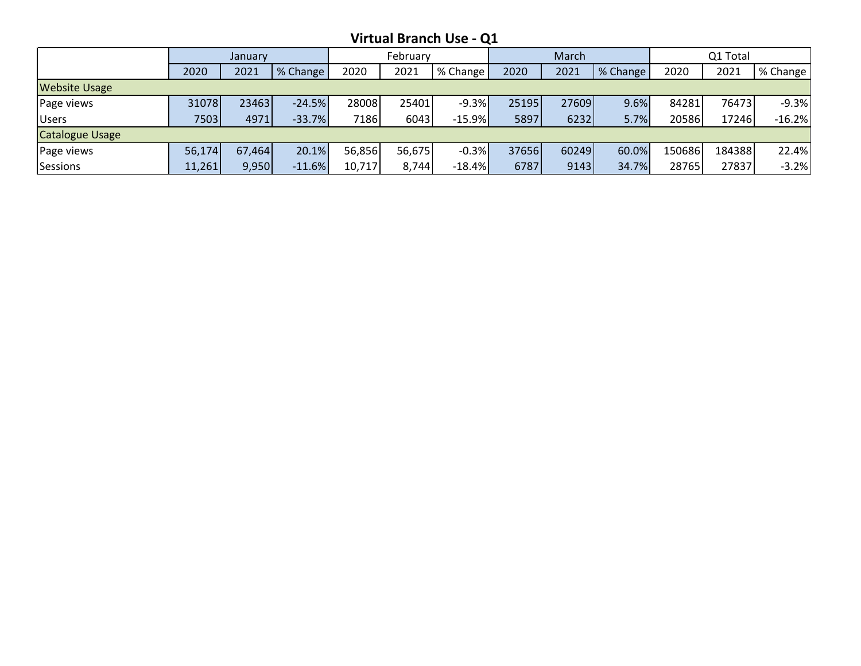**Virtual Branch Use - Q1**

|                        |        | January |          |        | February |          |       | March |          |        | Q1 Total |          |
|------------------------|--------|---------|----------|--------|----------|----------|-------|-------|----------|--------|----------|----------|
|                        | 2020   | 2021    | % Change | 2020   | 2021     | % Change | 2020  | 2021  | % Change | 2020   | 2021     | % Change |
| <b>Website Usage</b>   |        |         |          |        |          |          |       |       |          |        |          |          |
| Page views             | 31078  | 23463   | $-24.5%$ | 28008  | 25401    | $-9.3%$  | 25195 | 27609 | 9.6%     | 84281  | 76473    | $-9.3%$  |
| <b>Users</b>           | 7503   | 4971    | $-33.7%$ | 7186   | 6043     | $-15.9%$ | 5897  | 6232  | 5.7%     | 20586  | 17246    | $-16.2%$ |
| <b>Catalogue Usage</b> |        |         |          |        |          |          |       |       |          |        |          |          |
| Page views             | 56,174 | 67,464  | 20.1%    | 56,856 | 56,675   | $-0.3%$  | 37656 | 60249 | 60.0%    | 150686 | 184388   | 22.4%    |
| <b>Sessions</b>        | 11,261 | 9,950   | $-11.6%$ | 10,717 | 8,744    | $-18.4%$ | 6787  | 9143  | 34.7%    | 28765  | 27837    | $-3.2%$  |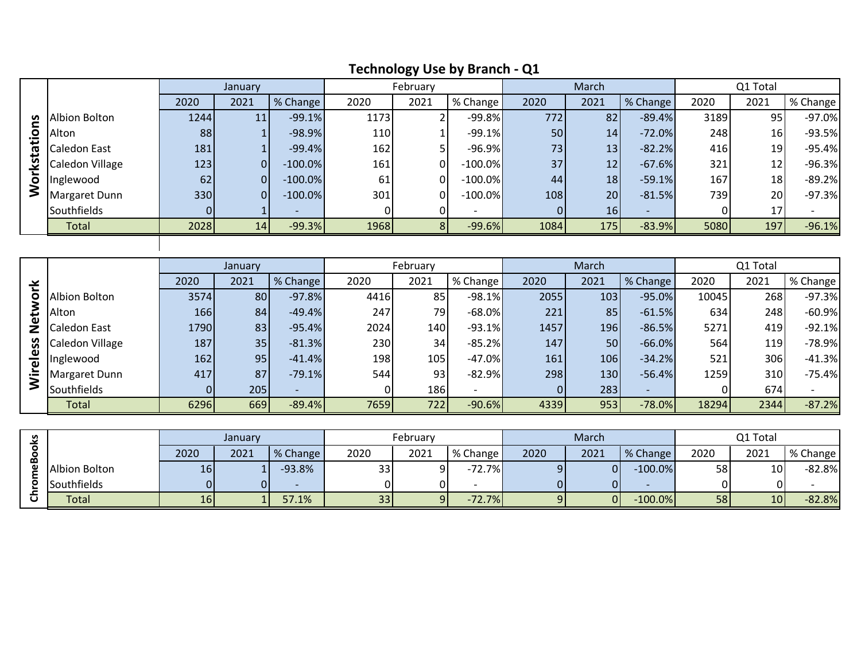|    |                 |      |         |            |      | - -            |            |      |       |          |      |          |              |
|----|-----------------|------|---------|------------|------|----------------|------------|------|-------|----------|------|----------|--------------|
|    |                 |      | January |            |      | February       |            |      | March |          |      | Q1 Total |              |
|    |                 | 2020 | 2021    | ■ % Change | 2020 | 2021           | % Change   | 2020 | 2021  | % Change | 2020 | 2021     | I % Change I |
| n  | Albion Bolton   | 1244 | 11      | $-99.1%$   | 1173 |                | $-99.8%$   | 772  | 82    | $-89.4%$ | 3189 | 95       | $-97.0%$     |
|    | Alton           | 88   |         | $-98.9%$   | 110  |                | $-99.1%$   | 50   | 14    | $-72.0%$ | 248  | 16       | $-93.5%$     |
| £5 | Caledon East    | 181  |         | $-99.4%$   | 162  |                | $-96.9%$   | 73   | 13    | $-82.2%$ | 416  | 19       | $-95.4%$     |
| یٰ | Caledon Village | 123  | οI      | $-100.0\%$ | 161  | 01             | $-100.0\%$ | 37   | 12    | $-67.6%$ | 321  | 12       | $-96.3%$     |
| Ş  | Inglewood       | 62   | 01      | $-100.0\%$ | 61   |                | $-100.0\%$ | 44   | 18    | $-59.1%$ | 167  | 18       | $-89.2%$     |
|    | Margaret Dunn   | 330  | 01      | $-100.0\%$ | 301  | $\overline{O}$ | $-100.0\%$ | 108  | 20    | $-81.5%$ | 739  | 20       | $-97.3%$     |
|    | Southfields     | 01   |         |            |      |                |            |      | 16    |          |      | 17       |              |
|    | Total           | 2028 | 14      | $-99.3%$   | 1968 |                | $-99.6%$   | 1084 | 175   | $-83.9%$ | 5080 | 197      | $-96.1%$     |
|    |                 |      |         |            |      |                |            |      |       |          |      |          |              |

# **Technology Use by Branch - Q1**

|                     |                 |      | January |          |      | February |           |      | March |          |       | Q1 Total |          |
|---------------------|-----------------|------|---------|----------|------|----------|-----------|------|-------|----------|-------|----------|----------|
| ⊻                   |                 | 2020 | 2021    | % Change | 2020 | 2021     | % Change  | 2020 | 2021  | % Change | 2020  | 2021     | % Change |
|                     | Albion Bolton   | 3574 | 80      | $-97.8%$ | 4416 | 85       | $-98.1%$  | 2055 | 103   | $-95.0%$ | 10045 | 268      | $-97.3%$ |
|                     | Alton           | 166  | 84      | $-49.4%$ | 247  | 79       | $-68.0\%$ | 221  | 85    | $-61.5%$ | 634   | 248      | $-60.9%$ |
|                     | Caledon East    | 1790 | 83      | $-95.4%$ | 2024 | 140      | $-93.1%$  | 1457 | 196   | $-86.5%$ | 5271  | 419      | $-92.1%$ |
| ပ္တ                 | Caledon Village | 187  | 35      | $-81.3%$ | 230  | 34       | $-85.2%$  | 147  | 50    | $-66.0%$ | 564   | 119I     | $-78.9%$ |
| $\overline{\omega}$ | Inglewood       | 162  | 95      | $-41.4%$ | 198  | 105      | $-47.0%$  | 161  | 106   | $-34.2%$ | 521   | 306      | $-41.3%$ |
|                     | Margaret Dunn   | 417  | 87      | $-79.1%$ | 544  | 93       | $-82.9%$  | 298  | 130   | $-56.4%$ | 1259  | 310      | $-75.4%$ |
|                     | Southfields     |      | 205     |          |      | 186      |           |      | 283   |          |       | 674      |          |
|                     | Total           | 6296 | 669     | $-89.4%$ | 7659 | 722      | $-90.6%$  | 4339 | 953   | $-78.0%$ | 18294 | 2344     | $-87.2%$ |

| <b>S</b> |                      | Januarv         |      |          | February |      |          | March |      |            | Q1 Total |      |          |
|----------|----------------------|-----------------|------|----------|----------|------|----------|-------|------|------------|----------|------|----------|
| മ        |                      | 2020            | 2021 | % Change | 2020     | 2021 | % Change | 2020  | 2021 | % Change   | 2020     | 2021 | % Change |
|          | <b>Albion Bolton</b> | 16 <sub>l</sub> |      | $-93.8%$ | 33       |      | $-72.7%$ | ດເ    |      | $-100.0\%$ | 58       | 10   | $-82.8%$ |
|          | Southfields          |                 |      |          |          |      |          |       |      |            |          |      |          |
|          | <b>Total</b>         | 16              |      | 57.1%    | 33 I     |      | $-72.7%$ |       |      | $-100.0\%$ | 58       | 10   | $-82.8%$ |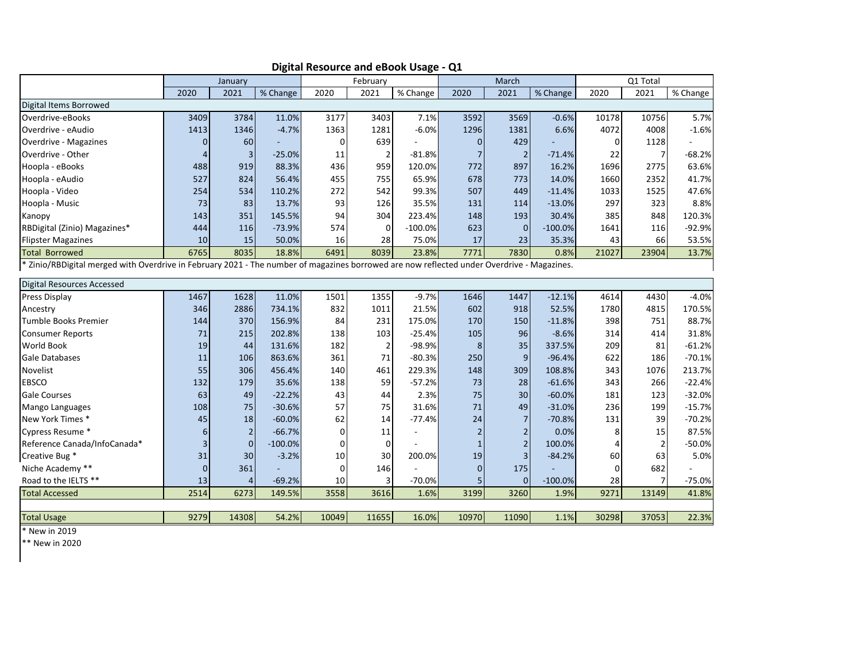|                                                                                                                                            |                | January        |           | February    |                | March     |                | Q1 Total       |           |          |                |          |
|--------------------------------------------------------------------------------------------------------------------------------------------|----------------|----------------|-----------|-------------|----------------|-----------|----------------|----------------|-----------|----------|----------------|----------|
|                                                                                                                                            | 2020           | 2021           | % Change  | 2020        | 2021           | % Change  | 2020           | 2021           | % Change  | 2020     | 2021           | % Change |
| Digital Items Borrowed                                                                                                                     |                |                |           |             |                |           |                |                |           |          |                |          |
| Overdrive-eBooks                                                                                                                           | 3409           | 3784           | 11.0%     | 3177        | 3403           | 7.1%      | 3592           | 3569           | $-0.6%$   | 10178    | 10756          | 5.7%     |
| Overdrive - eAudio                                                                                                                         | 1413           | 1346           | $-4.7%$   | 1363        | 1281           | $-6.0%$   | 1296           | 1381           | 6.6%      | 4072     | 4008           | $-1.6%$  |
| <b>Overdrive - Magazines</b>                                                                                                               | $\mathbf 0$    | 60             |           | 0           | 639            |           | 0              | 429            |           | 0        | 1128           |          |
| Overdrive - Other                                                                                                                          | $\overline{4}$ | 3              | $-25.0%$  | 11          | $\overline{2}$ | $-81.8%$  | $\overline{7}$ | $\overline{2}$ | $-71.4%$  | 22       | $\overline{7}$ | $-68.2%$ |
| Hoopla - eBooks                                                                                                                            | 488            | 919            | 88.3%     | 436         | 959            | 120.0%    | 772            | 897            | 16.2%     | 1696     | 2775           | 63.6%    |
| Hoopla - eAudio                                                                                                                            | 527            | 824            | 56.4%     | 455         | 755            | 65.9%     | 678            | 773            | 14.0%     | 1660     | 2352           | 41.7%    |
| Hoopla - Video                                                                                                                             | 254            | 534            | 110.2%    | 272         | 542            | 99.3%     | 507            | 449            | $-11.4%$  | 1033     | 1525           | 47.6%    |
| Hoopla - Music                                                                                                                             | 73             | 83             | 13.7%     | 93          | 126            | 35.5%     | 131            | 114            | $-13.0%$  | 297      | 323            | 8.8%     |
| Kanopy                                                                                                                                     | 143            | 351            | 145.5%    | 94          | 304            | 223.4%    | 148            | 193            | 30.4%     | 385      | 848            | 120.3%   |
| RBDigital (Zinio) Magazines*                                                                                                               | 444            | 116            | $-73.9%$  | 574         | $\mathbf 0$    | $-100.0%$ | 623            | $\mathbf{0}$   | $-100.0%$ | 1641     | 116            | -92.9%   |
| <b>Flipster Magazines</b>                                                                                                                  | 10             | 15             | 50.0%     | 16          | 28             | 75.0%     | 17             | 23             | 35.3%     | 43       | 66             | 53.5%    |
| <b>Total Borrowed</b>                                                                                                                      | 6765           | 8035           | 18.8%     | 6491        | 8039           | 23.8%     | 7771           | 7830           | 0.8%      | 21027    | 23904          | 13.7%    |
| * Zinio/RBDigital merged with Overdrive in February 2021 - The number of magazines borrowed are now reflected under Overdrive - Magazines. |                |                |           |             |                |           |                |                |           |          |                |          |
|                                                                                                                                            |                |                |           |             |                |           |                |                |           |          |                |          |
| <b>Digital Resources Accessed</b>                                                                                                          |                |                |           |             |                |           |                |                |           |          |                |          |
| Press Display                                                                                                                              | 1467           | 1628           | 11.0%     | 1501        | 1355           | $-9.7%$   | 1646           | 1447           | $-12.1%$  | 4614     | 4430           | $-4.0%$  |
| Ancestry                                                                                                                                   | 346            | 2886           | 734.1%    | 832         | 1011           | 21.5%     | 602            | 918            | 52.5%     | 1780     | 4815           | 170.5%   |
| Tumble Books Premier                                                                                                                       | 144            | 370            | 156.9%    | 84          | 231            | 175.0%    | 170            | 150            | $-11.8%$  | 398      | 751            | 88.7%    |
| <b>Consumer Reports</b>                                                                                                                    | 71             | 215            | 202.8%    | 138         | 103            | $-25.4%$  | 105            | 96             | $-8.6%$   | 314      | 414            | 31.8%    |
| World Book                                                                                                                                 | 19             | 44             | 131.6%    | 182         | $\overline{2}$ | $-98.9%$  | 8              | 35             | 337.5%    | 209      | 81             | $-61.2%$ |
| Gale Databases                                                                                                                             | 11             | 106            | 863.6%    | 361         | 71             | $-80.3%$  | 250            | 9              | $-96.4%$  | 622      | 186            | $-70.1%$ |
| Novelist                                                                                                                                   | 55             | 306            | 456.4%    | 140         | 461            | 229.3%    | 148            | 309            | 108.8%    | 343      | 1076           | 213.7%   |
| <b>EBSCO</b>                                                                                                                               | 132            | 179            | 35.6%     | 138         | 59             | $-57.2%$  | 73             | 28             | $-61.6%$  | 343      | 266            | $-22.4%$ |
| Gale Courses                                                                                                                               | 63             | 49             | $-22.2%$  | 43          | 44             | 2.3%      | 75             | 30             | $-60.0%$  | 181      | 123            | $-32.0%$ |
| Mango Languages                                                                                                                            | 108            | 75             | $-30.6%$  | 57          | 75             | 31.6%     | 71             | 49             | $-31.0%$  | 236      | 199            | $-15.7%$ |
| New York Times *                                                                                                                           | 45             | 18             | $-60.0%$  | 62          | 14             | $-77.4%$  | 24             | $\overline{7}$ | $-70.8%$  | 131      | 39             | $-70.2%$ |
| Cypress Resume *                                                                                                                           | 6              | $\overline{2}$ | $-66.7%$  | 0           | 11             |           | $\overline{2}$ | $\mathbf 2$    | 0.0%      | 8        | 15             | 87.5%    |
| Reference Canada/InfoCanada*                                                                                                               | 3              | $\mathbf{0}$   | $-100.0%$ | 0           | $\mathbf 0$    |           | $\mathbf{1}$   | $\mathbf 2$    | 100.0%    | 4        | 2              | $-50.0%$ |
| Creative Bug *                                                                                                                             | 31             | 30             | $-3.2%$   | 10          | 30             | 200.0%    | 19             | $\overline{3}$ | $-84.2%$  | 60       | 63             | 5.0%     |
| Niche Academy **                                                                                                                           | $\Omega$       | 361            |           | $\mathbf 0$ | 146            |           | $\mathbf{0}$   | 175            |           | $\Omega$ | 682            |          |
| Road to the IELTS **                                                                                                                       | 13             | $\overline{4}$ | $-69.2%$  | 10          | 3              | $-70.0%$  | 5              | $\mathbf{0}$   | $-100.0%$ | 28       | 7              | $-75.0%$ |
| <b>Total Accessed</b>                                                                                                                      | 2514           | 6273           | 149.5%    | 3558        | 3616           | 1.6%      | 3199           | 3260           | 1.9%      | 9271     | 13149          | 41.8%    |
|                                                                                                                                            |                |                |           |             |                |           |                |                |           |          |                |          |
| <b>Total Usage</b>                                                                                                                         | 9279           | 14308          | 54.2%     | 10049       | 11655          | 16.0%     | 10970          | 11090          | 1.1%      | 30298    | 37053          | 22.3%    |

**Digital Resource and eBook Usage - Q1**

\* New in 2019

\*\* New in 2020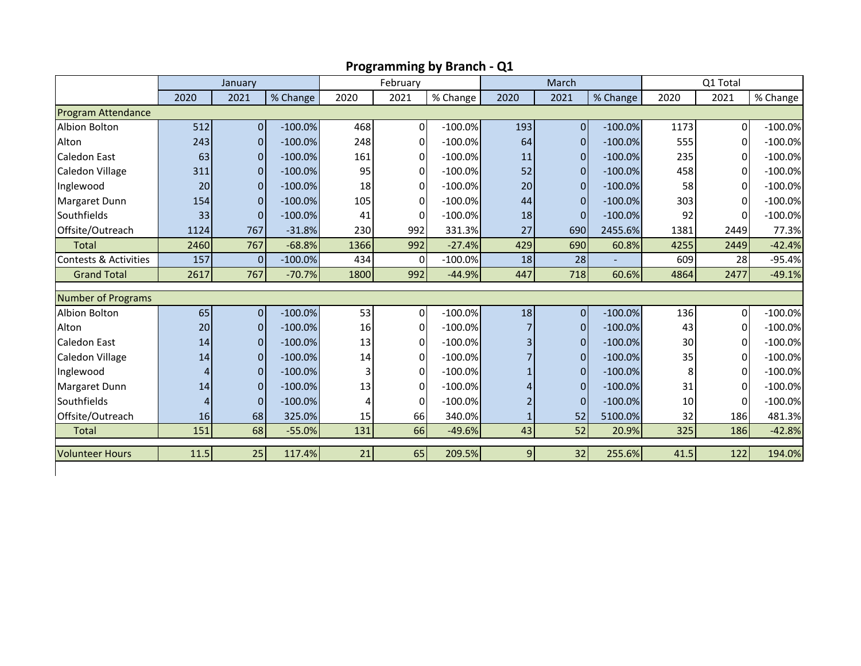|                                  | January |                |            |      | February |            |                | March                            |            | Q1 Total |              |            |
|----------------------------------|---------|----------------|------------|------|----------|------------|----------------|----------------------------------|------------|----------|--------------|------------|
|                                  | 2020    | 2021           | % Change   | 2020 | 2021     | % Change   | 2020           | 2021                             | % Change   | 2020     | 2021         | % Change   |
| <b>Program Attendance</b>        |         |                |            |      |          |            |                |                                  |            |          |              |            |
| <b>Albion Bolton</b>             | 512     | $\overline{0}$ | $-100.0%$  | 468  | 0        | $-100.0\%$ | 193            | <sup>0</sup>                     | $-100.0%$  | 1173     | 0            | $-100.0\%$ |
| Alton                            | 243     | $\Omega$       | $-100.0%$  | 248  | $\Omega$ | $-100.0\%$ | 64             | $\Omega$                         | $-100.0%$  | 555      | <sup>0</sup> | $-100.0%$  |
| <b>Caledon East</b>              | 63      | $\Omega$       | $-100.0%$  | 161  | 0        | $-100.0\%$ | 11             | $\Omega$                         | $-100.0%$  | 235      |              | $-100.0\%$ |
| Caledon Village                  | 311     | $\overline{0}$ | $-100.0\%$ | 95   | 0        | $-100.0\%$ | 52             | $\overline{0}$                   | $-100.0\%$ | 458      | 0            | $-100.0\%$ |
| Inglewood                        | 20      | $\overline{0}$ | $-100.0\%$ | 18   | 0        | $-100.0\%$ | 20             | $\overline{0}$                   | $-100.0\%$ | 58       | $\Omega$     | $-100.0\%$ |
| Margaret Dunn                    | 154     | $\Omega$       | $-100.0%$  | 105  | 0        | $-100.0\%$ | 44             | $\Omega$                         | $-100.0%$  | 303      |              | $-100.0%$  |
| Southfields                      | 33      | $\Omega$       | $-100.0%$  | 41   | $\Omega$ | $-100.0\%$ | 18             | $\Omega$                         | $-100.0%$  | 92       | <sup>0</sup> | $-100.0%$  |
| Offsite/Outreach                 | 1124    | 767            | $-31.8%$   | 230  | 992      | 331.3%     | 27             | 690                              | 2455.6%    | 1381     | 2449         | 77.3%      |
| <b>Total</b>                     | 2460    | 767            | $-68.8%$   | 1366 | 992      | $-27.4%$   | 429            | 690                              | 60.8%      | 4255     | 2449         | $-42.4%$   |
| <b>Contests &amp; Activities</b> | 157     | $\Omega$       | $-100.0\%$ | 434  | $\Omega$ | $-100.0%$  | 18             | 28                               |            | 609      | 28           | $-95.4%$   |
| <b>Grand Total</b>               | 2617    | 767            | $-70.7%$   | 1800 | 992      | $-44.9%$   | 447            | 718                              | 60.6%      | 4864     | 2477         | $-49.1%$   |
| <b>Number of Programs</b>        |         |                |            |      |          |            |                |                                  |            |          |              |            |
| Albion Bolton                    | 65      | $\overline{0}$ | $-100.0\%$ | 53   | 0        | $-100.0%$  | 18             | $\overline{0}$                   | $-100.0\%$ | 136      | $\Omega$     | $-100.0\%$ |
| Alton                            | 20      | $\overline{0}$ | $-100.0%$  | 16   | 0        | $-100.0\%$ |                |                                  | $-100.0%$  | 43       | 0            | $-100.0\%$ |
| Caledon East                     |         | $\overline{0}$ | $-100.0%$  |      | 0        | $-100.0\%$ |                | $\overline{0}$<br>$\overline{0}$ | $-100.0%$  | 30       | $\Omega$     | $-100.0%$  |
|                                  | 14      |                |            | 13   |          |            |                |                                  |            |          |              |            |
| Caledon Village                  | 14      | $\overline{0}$ | $-100.0%$  | 14   | 0        | $-100.0\%$ |                | $\overline{0}$                   | $-100.0\%$ | 35       |              | $-100.0\%$ |
| Inglewood                        | 4       | $\Omega$       | $-100.0%$  |      | $\Omega$ | $-100.0\%$ |                | $\Omega$                         | $-100.0%$  | 8        |              | $-100.0\%$ |
| Margaret Dunn                    | 14      | $\overline{0}$ | $-100.0%$  | 13   | $\Omega$ | $-100.0\%$ |                | $\Omega$                         | $-100.0%$  | 31       | 0            | $-100.0\%$ |
| Southfields                      | 4       | $\overline{0}$ | $-100.0\%$ | 4    | 0        | $-100.0\%$ |                | $\overline{0}$                   | $-100.0\%$ | 10       | $\Omega$     | $-100.0%$  |
| Offsite/Outreach                 | 16      | 68             | 325.0%     | 15   | 66       | 340.0%     |                | 52                               | 5100.0%    | 32       | 186          | 481.3%     |
| <b>Total</b>                     | 151     | 68             | $-55.0%$   | 131  | 66       | $-49.6%$   | 43             | 52                               | 20.9%      | 325      | 186          | $-42.8%$   |
| <b>Volunteer Hours</b>           | 11.5    | 25             | 117.4%     | 21   | 65       | 209.5%     | 9 <sub>l</sub> | 32                               | 255.6%     | 41.5     | 122          | 194.0%     |
|                                  |         |                |            |      |          |            |                |                                  |            |          |              |            |

**Programming by Branch - Q1**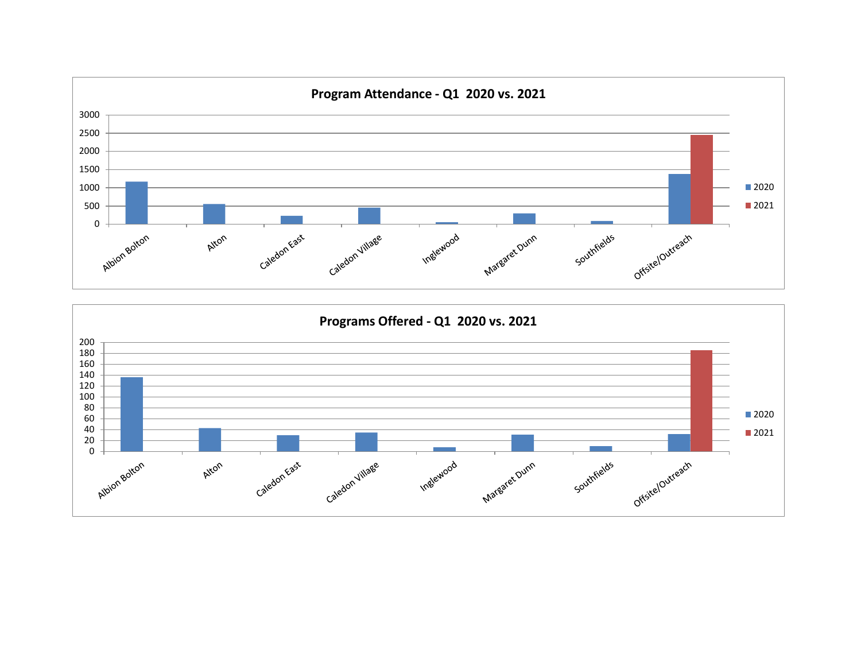

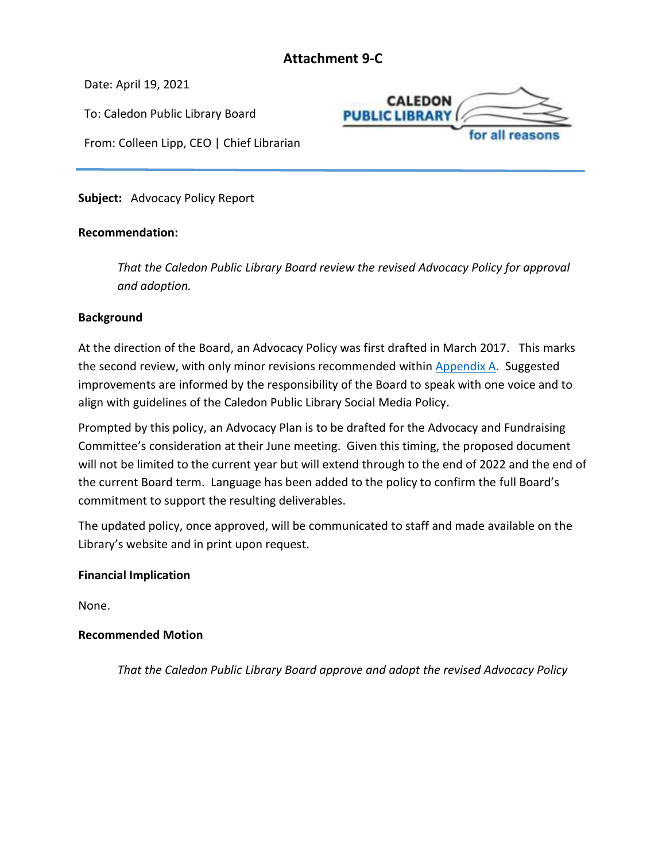# **Attachment 9-C**

**CALEDON** 

for all reasor

**PUBLIC LIBRARY** 

<span id="page-31-0"></span>Date: April 19, 2021

To: Caledon Public Library Board

From: Colleen Lipp, CEO | Chief Librarian

**Subject:** Advocacy Policy Report

# **Recommendation:**

*That the Caledon Public Library Board review the revised Advocacy Policy for approval and adoption.*

# **Background**

At the direction of the Board, an Advocacy Policy was first drafted in March 2017. This marks the second review, with only minor revisions recommended within [Appendix A.](#page-31-1) Suggested improvements are informed by the responsibility of the Board to speak with one voice and to align with guidelines of the Caledon Public Library Social Media Policy.

Prompted by this policy, an Advocacy Plan is to be drafted for the Advocacy and Fundraising Committee's consideration at their June meeting. Given this timing, the proposed document will not be limited to the current year but will extend through to the end of 2022 and the end of the current Board term. Language has been added to the policy to confirm the full Board's commitment to support the resulting deliverables.

The updated policy, once approved, will be communicated to staff and made available on the Library's website and in print upon request.

# **Financial Implication**

None.

# **Recommended Motion**

<span id="page-31-1"></span>*That the Caledon Public Library Board approve and adopt the revised Advocacy Policy*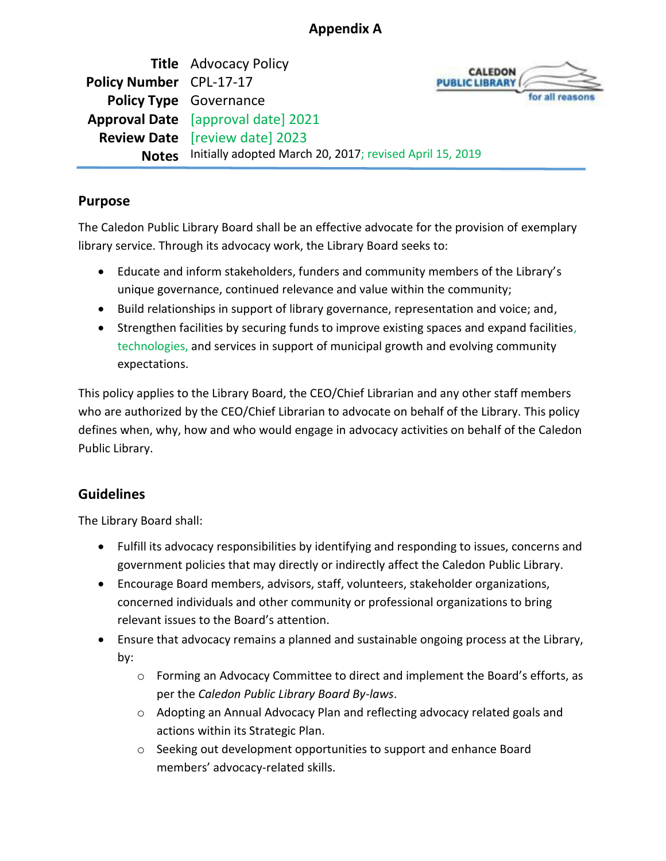# **Appendix A**

**Title** Advocacy Policy **Policy Number** CPL-17-17 **Policy Type** Governance **Approval Date** [approval date] 2021 **Review Date** [review date] 2023 **Notes** Initially adopted March 20, 2017; revised April 15, 2019



# **Purpose**

The Caledon Public Library Board shall be an effective advocate for the provision of exemplary library service. Through its advocacy work, the Library Board seeks to:

- Educate and inform stakeholders, funders and community members of the Library's unique governance, continued relevance and value within the community;
- Build relationships in support of library governance, representation and voice; and,
- Strengthen facilities by securing funds to improve existing spaces and expand facilities, technologies, and services in support of municipal growth and evolving community expectations.

This policy applies to the Library Board, the CEO/Chief Librarian and any other staff members who are authorized by the CEO/Chief Librarian to advocate on behalf of the Library. This policy defines when, why, how and who would engage in advocacy activities on behalf of the Caledon Public Library.

# **Guidelines**

The Library Board shall:

- Fulfill its advocacy responsibilities by identifying and responding to issues, concerns and government policies that may directly or indirectly affect the Caledon Public Library.
- Encourage Board members, advisors, staff, volunteers, stakeholder organizations, concerned individuals and other community or professional organizations to bring relevant issues to the Board's attention.
- Ensure that advocacy remains a planned and sustainable ongoing process at the Library, by:
	- o Forming an Advocacy Committee to direct and implement the Board's efforts, as per the *Caledon Public Library Board By-laws*.
	- $\circ$  Adopting an Annual Advocacy Plan and reflecting advocacy related goals and actions within its Strategic Plan.
	- $\circ$  Seeking out development opportunities to support and enhance Board members' advocacy-related skills.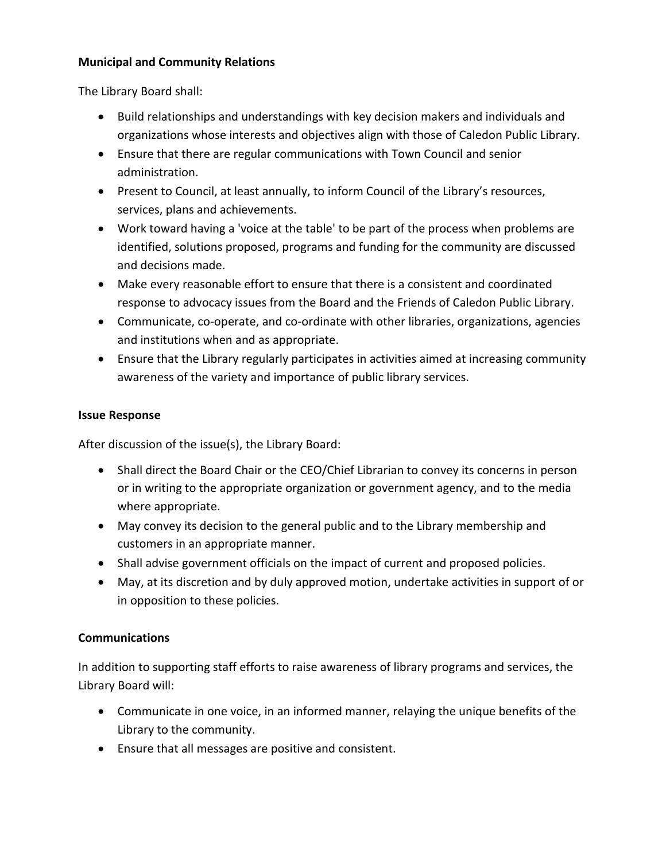# **Municipal and Community Relations**

The Library Board shall:

- Build relationships and understandings with key decision makers and individuals and organizations whose interests and objectives align with those of Caledon Public Library.
- Ensure that there are regular communications with Town Council and senior administration.
- Present to Council, at least annually, to inform Council of the Library's resources, services, plans and achievements.
- Work toward having a 'voice at the table' to be part of the process when problems are identified, solutions proposed, programs and funding for the community are discussed and decisions made.
- Make every reasonable effort to ensure that there is a consistent and coordinated response to advocacy issues from the Board and the Friends of Caledon Public Library.
- Communicate, co-operate, and co-ordinate with other libraries, organizations, agencies and institutions when and as appropriate.
- Ensure that the Library regularly participates in activities aimed at increasing community awareness of the variety and importance of public library services.

# **Issue Response**

After discussion of the issue(s), the Library Board:

- Shall direct the Board Chair or the CEO/Chief Librarian to convey its concerns in person or in writing to the appropriate organization or government agency, and to the media where appropriate.
- May convey its decision to the general public and to the Library membership and customers in an appropriate manner.
- Shall advise government officials on the impact of current and proposed policies.
- May, at its discretion and by duly approved motion, undertake activities in support of or in opposition to these policies.

# **Communications**

In addition to supporting staff efforts to raise awareness of library programs and services, the Library Board will:

- Communicate in one voice, in an informed manner, relaying the unique benefits of the Library to the community.
- Ensure that all messages are positive and consistent.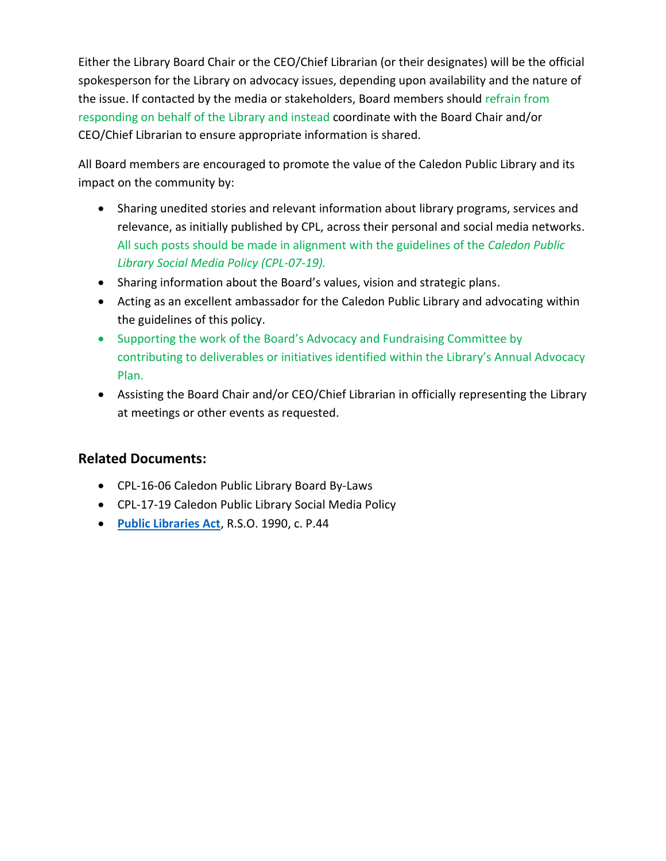Either the Library Board Chair or the CEO/Chief Librarian (or their designates) will be the official spokesperson for the Library on advocacy issues, depending upon availability and the nature of the issue. If contacted by the media or stakeholders, Board members should refrain from responding on behalf of the Library and instead coordinate with the Board Chair and/or CEO/Chief Librarian to ensure appropriate information is shared.

All Board members are encouraged to promote the value of the Caledon Public Library and its impact on the community by:

- Sharing unedited stories and relevant information about library programs, services and relevance, as initially published by CPL, across their personal and social media networks. All such posts should be made in alignment with the guidelines of the *Caledon Public Library Social Media Policy (CPL-07-19).*
- Sharing information about the Board's values, vision and strategic plans.
- Acting as an excellent ambassador for the Caledon Public Library and advocating within the guidelines of this policy.
- Supporting the work of the Board's Advocacy and Fundraising Committee by contributing to deliverables or initiatives identified within the Library's Annual Advocacy Plan.
- Assisting the Board Chair and/or CEO/Chief Librarian in officially representing the Library at meetings or other events as requested.

# **Related Documents:**

- CPL-16-06 Caledon Public Library Board By-Laws
- CPL-17-19 Caledon Public Library Social Media Policy
- **[Public Libraries Act](http://www.ontario.ca/laws/statute/90p44?search=public+library+act)**, R.S.O. 1990, c. P.44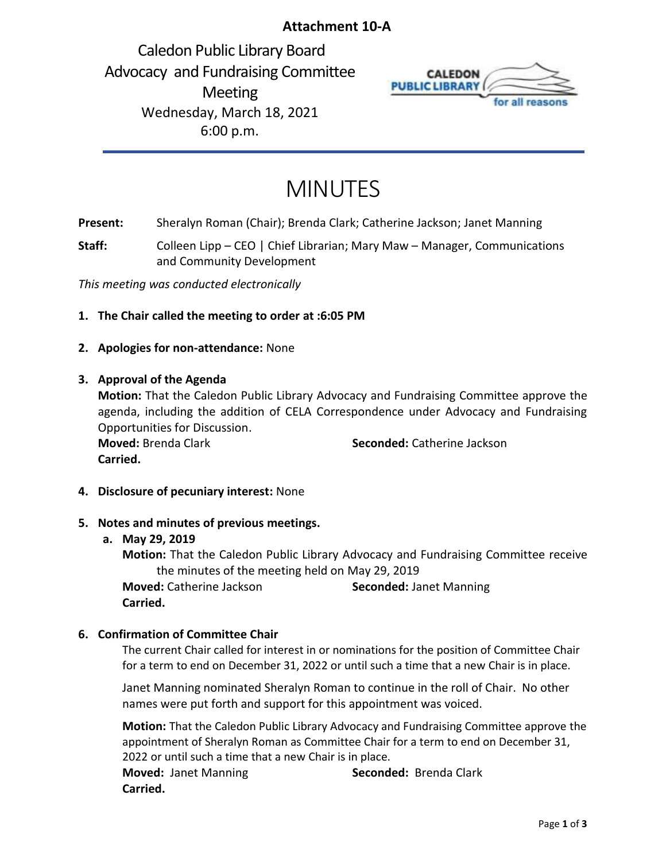# **Attachment 10-A**

<span id="page-35-0"></span>Caledon Public Library Board Advocacy and Fundraising Committee Meeting Wednesday, March 18, 2021 6:00 p.m.



# MINUTES

**Present:** Sheralyn Roman (Chair); Brenda Clark; Catherine Jackson; Janet Manning

**Staff:** Colleen Lipp – CEO | Chief Librarian; Mary Maw – Manager, Communications and Community Development

*This meeting was conducted electronically* 

- **1. The Chair called the meeting to order at :6:05 PM**
- **2. Apologies for non-attendance:** None

## **3. Approval of the Agenda**

**Motion:** That the Caledon Public Library Advocacy and Fundraising Committee approve the agenda, including the addition of CELA Correspondence under Advocacy and Fundraising Opportunities for Discussion. **Moved:** Brenda Clark **Seconded:** Catherine Jackson **Carried.**

**4. Disclosure of pecuniary interest:** None

# **5. Notes and minutes of previous meetings.**

### **a. May 29, 2019**

**Motion:** That the Caledon Public Library Advocacy and Fundraising Committee receive the minutes of the meeting held on May 29, 2019 **Moved:** Catherine Jackson **Seconded:** Janet Manning **Carried.** 

# **6. Confirmation of Committee Chair**

The current Chair called for interest in or nominations for the position of Committee Chair for a term to end on December 31, 2022 or until such a time that a new Chair is in place.

Janet Manning nominated Sheralyn Roman to continue in the roll of Chair. No other names were put forth and support for this appointment was voiced.

**Motion:** That the Caledon Public Library Advocacy and Fundraising Committee approve the appointment of Sheralyn Roman as Committee Chair for a term to end on December 31, 2022 or until such a time that a new Chair is in place.

**Moved:** Janet Manning **Seconded:** Brenda Clark **Carried.**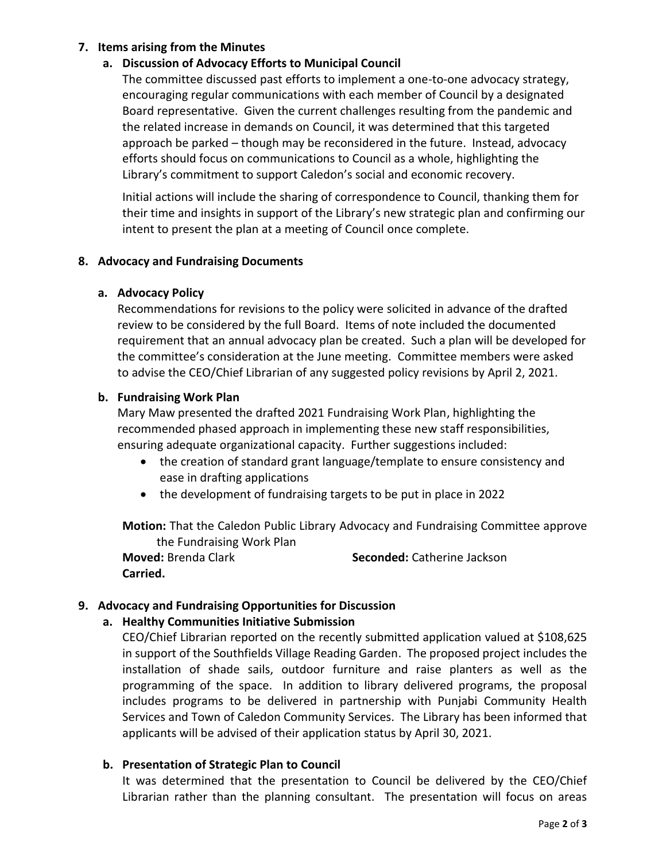# **7. Items arising from the Minutes**

# **a. Discussion of Advocacy Efforts to Municipal Council**

The committee discussed past efforts to implement a one-to-one advocacy strategy, encouraging regular communications with each member of Council by a designated Board representative. Given the current challenges resulting from the pandemic and the related increase in demands on Council, it was determined that this targeted approach be parked – though may be reconsidered in the future. Instead, advocacy efforts should focus on communications to Council as a whole, highlighting the Library's commitment to support Caledon's social and economic recovery.

Initial actions will include the sharing of correspondence to Council, thanking them for their time and insights in support of the Library's new strategic plan and confirming our intent to present the plan at a meeting of Council once complete.

## **8. Advocacy and Fundraising Documents**

## **a. Advocacy Policy**

Recommendations for revisions to the policy were solicited in advance of the drafted review to be considered by the full Board. Items of note included the documented requirement that an annual advocacy plan be created. Such a plan will be developed for the committee's consideration at the June meeting. Committee members were asked to advise the CEO/Chief Librarian of any suggested policy revisions by April 2, 2021.

## **b. Fundraising Work Plan**

Mary Maw presented the drafted 2021 Fundraising Work Plan, highlighting the recommended phased approach in implementing these new staff responsibilities, ensuring adequate organizational capacity. Further suggestions included:

- the creation of standard grant language/template to ensure consistency and ease in drafting applications
- the development of fundraising targets to be put in place in 2022

**Motion:** That the Caledon Public Library Advocacy and Fundraising Committee approve the Fundraising Work Plan

**Moved:** Brenda Clark **Seconded:** Catherine Jackson **Carried.** 

# **9. Advocacy and Fundraising Opportunities for Discussion**

# **a. Healthy Communities Initiative Submission**

CEO/Chief Librarian reported on the recently submitted application valued at \$108,625 in support of the Southfields Village Reading Garden. The proposed project includes the installation of shade sails, outdoor furniture and raise planters as well as the programming of the space. In addition to library delivered programs, the proposal includes programs to be delivered in partnership with Punjabi Community Health Services and Town of Caledon Community Services. The Library has been informed that applicants will be advised of their application status by April 30, 2021.

# **b. Presentation of Strategic Plan to Council**

It was determined that the presentation to Council be delivered by the CEO/Chief Librarian rather than the planning consultant. The presentation will focus on areas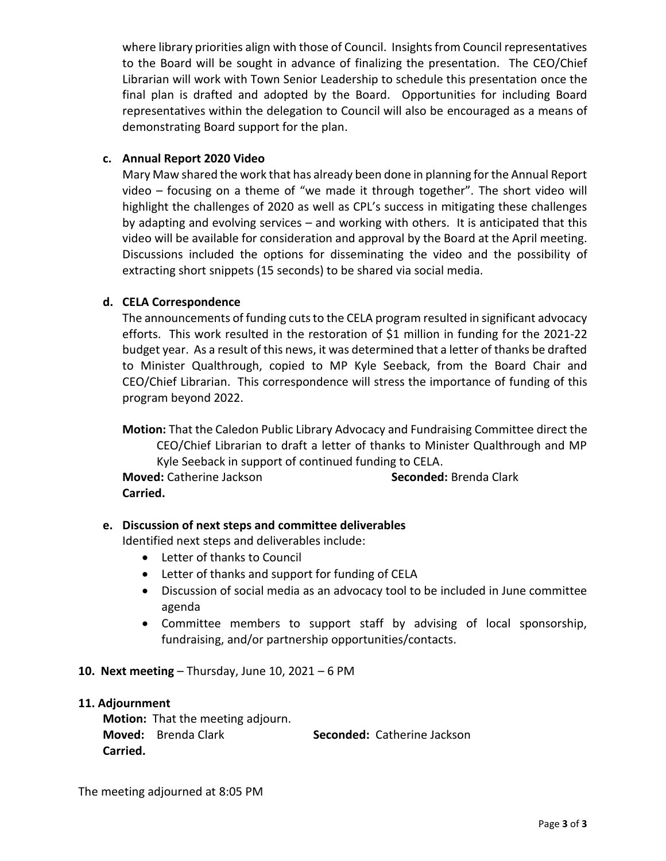where library priorities align with those of Council. Insights from Council representatives to the Board will be sought in advance of finalizing the presentation. The CEO/Chief Librarian will work with Town Senior Leadership to schedule this presentation once the final plan is drafted and adopted by the Board. Opportunities for including Board representatives within the delegation to Council will also be encouraged as a means of demonstrating Board support for the plan.

# **c. Annual Report 2020 Video**

Mary Maw shared the work that has already been done in planning for the Annual Report video – focusing on a theme of "we made it through together". The short video will highlight the challenges of 2020 as well as CPL's success in mitigating these challenges by adapting and evolving services – and working with others. It is anticipated that this video will be available for consideration and approval by the Board at the April meeting. Discussions included the options for disseminating the video and the possibility of extracting short snippets (15 seconds) to be shared via social media.

# **d. CELA Correspondence**

The announcements of funding cuts to the CELA program resulted in significant advocacy efforts. This work resulted in the restoration of \$1 million in funding for the 2021-22 budget year. As a result of this news, it was determined that a letter of thanks be drafted to Minister Qualthrough, copied to MP Kyle Seeback, from the Board Chair and CEO/Chief Librarian. This correspondence will stress the importance of funding of this program beyond 2022.

**Motion:** That the Caledon Public Library Advocacy and Fundraising Committee direct the CEO/Chief Librarian to draft a letter of thanks to Minister Qualthrough and MP Kyle Seeback in support of continued funding to CELA.

**Moved:** Catherine Jackson **Seconded:** Brenda Clark **Carried.** 

# **e. Discussion of next steps and committee deliverables**

Identified next steps and deliverables include:

- Letter of thanks to Council
- Letter of thanks and support for funding of CELA
- Discussion of social media as an advocacy tool to be included in June committee agenda
- Committee members to support staff by advising of local sponsorship, fundraising, and/or partnership opportunities/contacts.

# **10. Next meeting** – Thursday, June 10, 2021 – 6 PM

# **11. Adjournment**

**Motion:** That the meeting adjourn. **Moved:** Brenda Clark **Seconded:** Catherine Jackson **Carried.**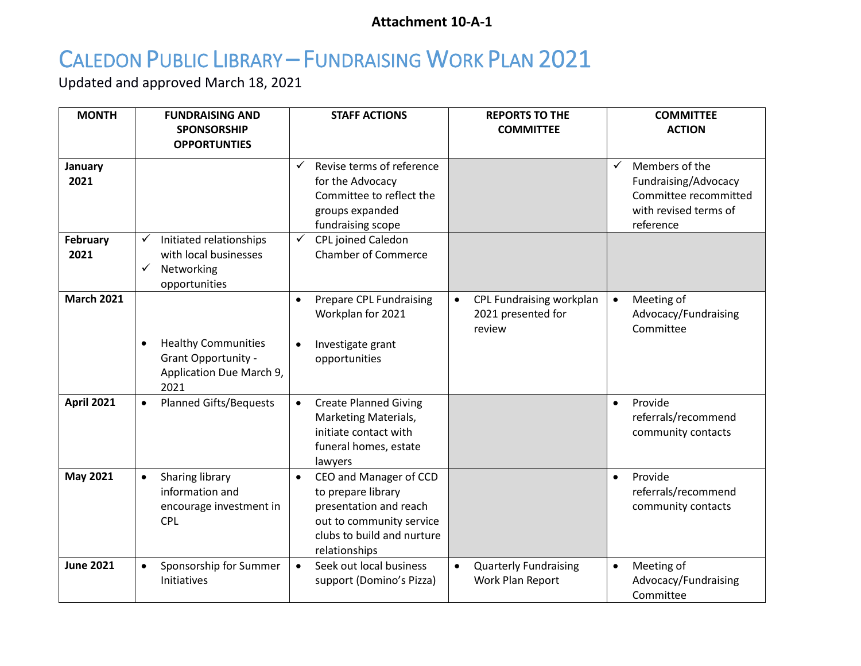# **Attachment 10-A-1**

# <span id="page-38-0"></span>CALEDON PUBLIC LIBRARY – FUNDRAISING WORK PLAN 2021

Updated and approved March 18, 2021

| <b>MONTH</b>                       | <b>FUNDRAISING AND</b><br><b>SPONSORSHIP</b><br><b>OPPORTUNTIES</b>                   | <b>STAFF ACTIONS</b>                                                                                                                                                    | <b>REPORTS TO THE</b><br><b>COMMITTEE</b>                             | <b>COMMITTEE</b><br><b>ACTION</b>                                                                                     |
|------------------------------------|---------------------------------------------------------------------------------------|-------------------------------------------------------------------------------------------------------------------------------------------------------------------------|-----------------------------------------------------------------------|-----------------------------------------------------------------------------------------------------------------------|
| January<br>2021<br><b>February</b> | Initiated relationships<br>✓                                                          | Revise terms of reference<br>$\checkmark$<br>for the Advocacy<br>Committee to reflect the<br>groups expanded<br>fundraising scope<br>CPL joined Caledon<br>$\checkmark$ |                                                                       | $\checkmark$<br>Members of the<br>Fundraising/Advocacy<br>Committee recommitted<br>with revised terms of<br>reference |
| 2021                               | with local businesses<br>Networking<br>✓<br>opportunities                             | <b>Chamber of Commerce</b>                                                                                                                                              |                                                                       |                                                                                                                       |
| <b>March 2021</b>                  | <b>Healthy Communities</b><br>Grant Opportunity -<br>Application Due March 9,<br>2021 | <b>Prepare CPL Fundraising</b><br>$\bullet$<br>Workplan for 2021<br>Investigate grant<br>$\bullet$<br>opportunities                                                     | CPL Fundraising workplan<br>$\bullet$<br>2021 presented for<br>review | Meeting of<br>Advocacy/Fundraising<br>Committee                                                                       |
| <b>April 2021</b>                  | <b>Planned Gifts/Bequests</b><br>$\bullet$                                            | <b>Create Planned Giving</b><br>$\bullet$<br>Marketing Materials,<br>initiate contact with<br>funeral homes, estate<br>lawyers                                          |                                                                       | Provide<br>$\bullet$<br>referrals/recommend<br>community contacts                                                     |
| May 2021                           | Sharing library<br>$\bullet$<br>information and<br>encourage investment in<br>CPL     | CEO and Manager of CCD<br>$\bullet$<br>to prepare library<br>presentation and reach<br>out to community service<br>clubs to build and nurture<br>relationships          |                                                                       | Provide<br>$\bullet$<br>referrals/recommend<br>community contacts                                                     |
| <b>June 2021</b>                   | Sponsorship for Summer<br>$\bullet$<br>Initiatives                                    | Seek out local business<br>$\bullet$<br>support (Domino's Pizza)                                                                                                        | <b>Quarterly Fundraising</b><br>$\bullet$<br>Work Plan Report         | Meeting of<br>$\bullet$<br>Advocacy/Fundraising<br>Committee                                                          |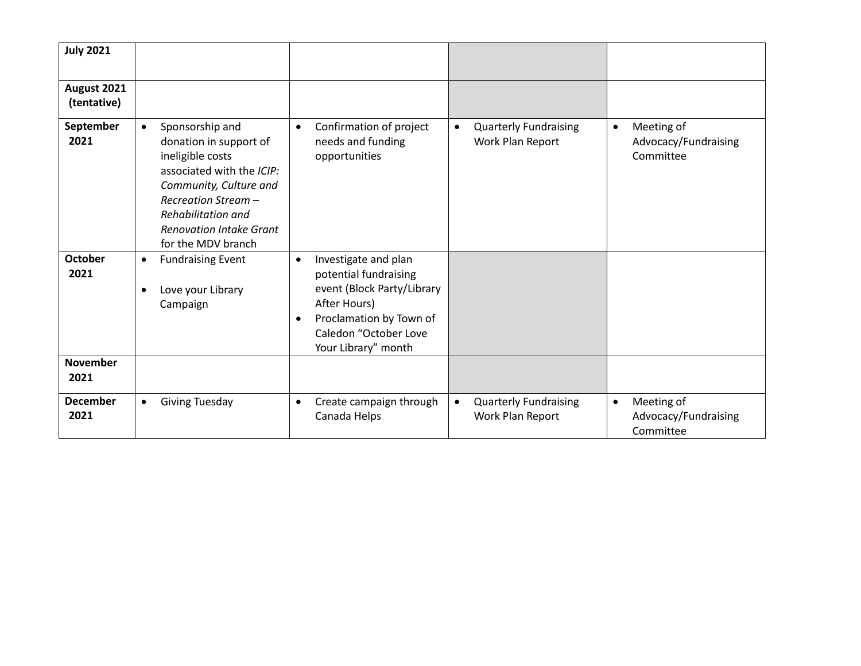| <b>July 2021</b>           |                                                                                                                                                                                                                                        |                                                                                                                                                                                                  |                                                               |                                                              |
|----------------------------|----------------------------------------------------------------------------------------------------------------------------------------------------------------------------------------------------------------------------------------|--------------------------------------------------------------------------------------------------------------------------------------------------------------------------------------------------|---------------------------------------------------------------|--------------------------------------------------------------|
| August 2021<br>(tentative) |                                                                                                                                                                                                                                        |                                                                                                                                                                                                  |                                                               |                                                              |
| September<br>2021          | Sponsorship and<br>$\bullet$<br>donation in support of<br>ineligible costs<br>associated with the ICIP:<br>Community, Culture and<br>Recreation Stream -<br>Rehabilitation and<br><b>Renovation Intake Grant</b><br>for the MDV branch | Confirmation of project<br>$\bullet$<br>needs and funding<br>opportunities                                                                                                                       | <b>Quarterly Fundraising</b><br>$\bullet$<br>Work Plan Report | Meeting of<br>$\bullet$<br>Advocacy/Fundraising<br>Committee |
| <b>October</b><br>2021     | <b>Fundraising Event</b><br>$\bullet$<br>Love your Library<br>Campaign                                                                                                                                                                 | Investigate and plan<br>$\bullet$<br>potential fundraising<br>event (Block Party/Library<br>After Hours)<br>Proclamation by Town of<br>$\bullet$<br>Caledon "October Love<br>Your Library" month |                                                               |                                                              |
| <b>November</b><br>2021    |                                                                                                                                                                                                                                        |                                                                                                                                                                                                  |                                                               |                                                              |
| <b>December</b><br>2021    | <b>Giving Tuesday</b><br>$\bullet$                                                                                                                                                                                                     | Create campaign through<br>$\bullet$<br>Canada Helps                                                                                                                                             | <b>Quarterly Fundraising</b><br>$\bullet$<br>Work Plan Report | Meeting of<br>$\bullet$<br>Advocacy/Fundraising<br>Committee |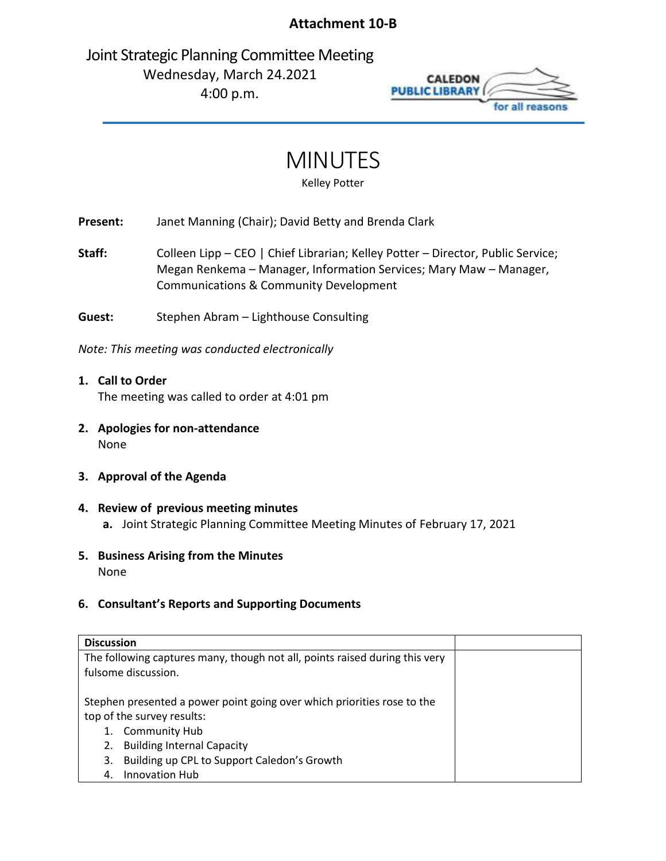# **Attachment 10-B**

<span id="page-40-0"></span>Joint Strategic Planning Committee Meeting Wednesday, March 24.2021 4:00 p.m.



# MINUTES

Kelley Potter

**Present:** Janet Manning (Chair); David Betty and Brenda Clark

Staff: Colleen Lipp – CEO | Chief Librarian; Kelley Potter – Director, Public Service; Megan Renkema – Manager, Information Services; Mary Maw – Manager, Communications & Community Development

**Guest:** Stephen Abram – Lighthouse Consulting

*Note: This meeting was conducted electronically*

**1. Call to Order** The meeting was called to order at 4:01 pm

- **2. Apologies for non-attendance** None
- **3. Approval of the Agenda**
- **4. Review of previous meeting minutes a.** Joint Strategic Planning Committee Meeting Minutes of February 17, 2021
- **5. Business Arising from the Minutes** None

# **6. Consultant's Reports and Supporting Documents**

| <b>Discussion</b>                                                           |  |  |  |  |  |  |  |
|-----------------------------------------------------------------------------|--|--|--|--|--|--|--|
| The following captures many, though not all, points raised during this very |  |  |  |  |  |  |  |
| fulsome discussion.                                                         |  |  |  |  |  |  |  |
|                                                                             |  |  |  |  |  |  |  |
| Stephen presented a power point going over which priorities rose to the     |  |  |  |  |  |  |  |
| top of the survey results:                                                  |  |  |  |  |  |  |  |
| <b>Community Hub</b><br>1.                                                  |  |  |  |  |  |  |  |
| <b>Building Internal Capacity</b><br>2.                                     |  |  |  |  |  |  |  |
| Building up CPL to Support Caledon's Growth<br>3.                           |  |  |  |  |  |  |  |
| Innovation Hub<br>4.                                                        |  |  |  |  |  |  |  |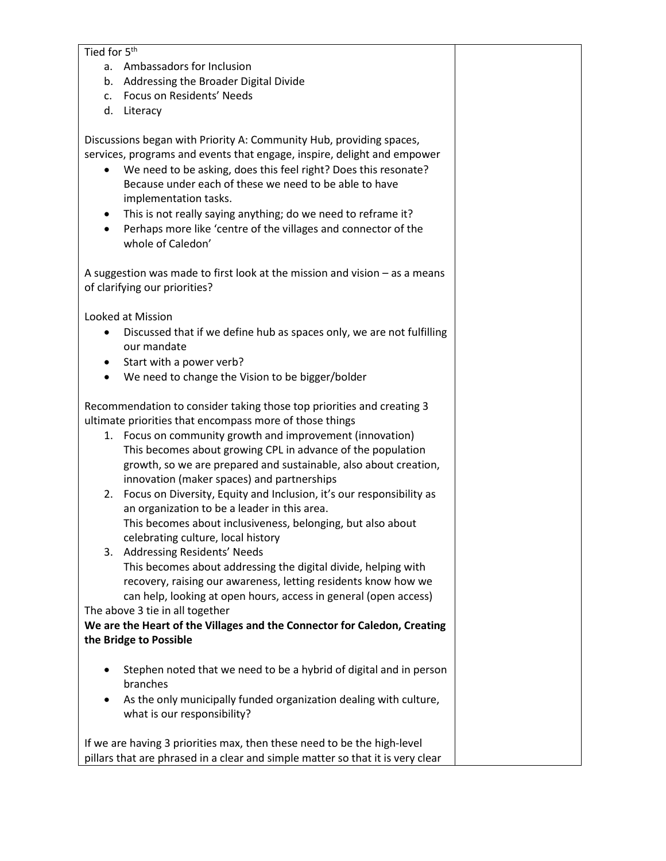### Tied for 5<sup>th</sup>

- a. Ambassadors for Inclusion
- b. Addressing the Broader Digital Divide
- c. Focus on Residents' Needs
- d. Literacy

Discussions began with Priority A: Community Hub, providing spaces, services, programs and events that engage, inspire, delight and empower

- We need to be asking, does this feel right? Does this resonate? Because under each of these we need to be able to have implementation tasks.
- This is not really saying anything; do we need to reframe it?
- Perhaps more like 'centre of the villages and connector of the whole of Caledon'

A suggestion was made to first look at the mission and vision – as a means of clarifying our priorities?

Looked at Mission

- Discussed that if we define hub as spaces only, we are not fulfilling our mandate
- Start with a power verb?
- We need to change the Vision to be bigger/bolder

Recommendation to consider taking those top priorities and creating 3 ultimate priorities that encompass more of those things

- 1. Focus on community growth and improvement (innovation) This becomes about growing CPL in advance of the population growth, so we are prepared and sustainable, also about creation, innovation (maker spaces) and partnerships
- 2. Focus on Diversity, Equity and Inclusion, it's our responsibility as an organization to be a leader in this area. This becomes about inclusiveness, belonging, but also about celebrating culture, local history
- 3. Addressing Residents' Needs This becomes about addressing the digital divide, helping with recovery, raising our awareness, letting residents know how we can help, looking at open hours, access in general (open access)

The above 3 tie in all together

# **We are the Heart of the Villages and the Connector for Caledon, Creating the Bridge to Possible**

- Stephen noted that we need to be a hybrid of digital and in person branches
- As the only municipally funded organization dealing with culture, what is our responsibility?

If we are having 3 priorities max, then these need to be the high-level pillars that are phrased in a clear and simple matter so that it is very clear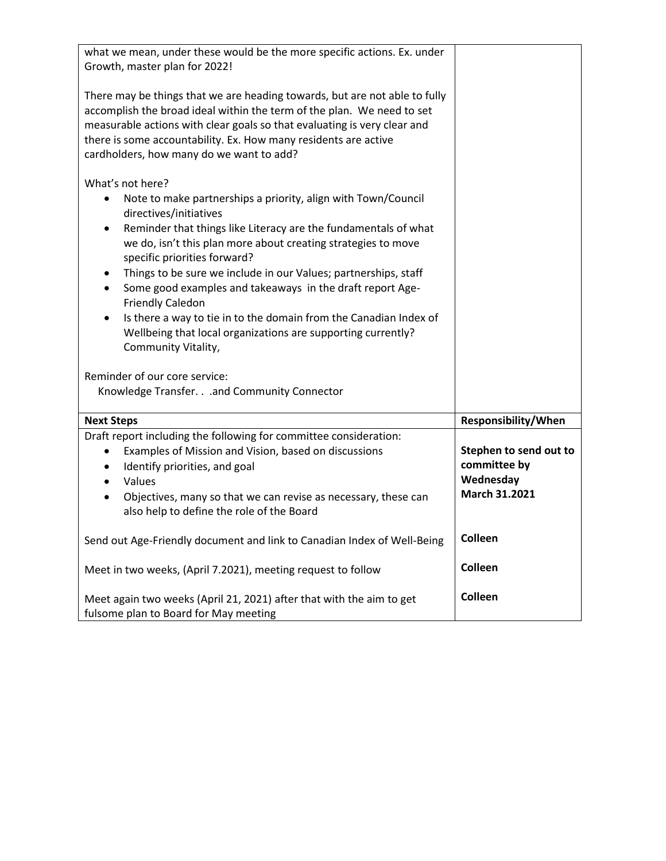| what we mean, under these would be the more specific actions. Ex. under<br>Growth, master plan for 2022!                                                                                                                                                                                                                                                                                                                                                                                                                                                                                                                                                |                                                                      |
|---------------------------------------------------------------------------------------------------------------------------------------------------------------------------------------------------------------------------------------------------------------------------------------------------------------------------------------------------------------------------------------------------------------------------------------------------------------------------------------------------------------------------------------------------------------------------------------------------------------------------------------------------------|----------------------------------------------------------------------|
| There may be things that we are heading towards, but are not able to fully<br>accomplish the broad ideal within the term of the plan. We need to set<br>measurable actions with clear goals so that evaluating is very clear and<br>there is some accountability. Ex. How many residents are active<br>cardholders, how many do we want to add?                                                                                                                                                                                                                                                                                                         |                                                                      |
| What's not here?<br>Note to make partnerships a priority, align with Town/Council<br>٠<br>directives/initiatives<br>Reminder that things like Literacy are the fundamentals of what<br>٠<br>we do, isn't this plan more about creating strategies to move<br>specific priorities forward?<br>Things to be sure we include in our Values; partnerships, staff<br>$\bullet$<br>Some good examples and takeaways in the draft report Age-<br>$\bullet$<br><b>Friendly Caledon</b><br>Is there a way to tie in to the domain from the Canadian Index of<br>$\bullet$<br>Wellbeing that local organizations are supporting currently?<br>Community Vitality, |                                                                      |
| Reminder of our core service:<br>Knowledge Transfer. and Community Connector                                                                                                                                                                                                                                                                                                                                                                                                                                                                                                                                                                            |                                                                      |
| <b>Next Steps</b>                                                                                                                                                                                                                                                                                                                                                                                                                                                                                                                                                                                                                                       | Responsibility/When                                                  |
| Draft report including the following for committee consideration:<br>Examples of Mission and Vision, based on discussions<br>Identify priorities, and goal<br>$\bullet$<br>Values<br>$\bullet$<br>Objectives, many so that we can revise as necessary, these can<br>$\bullet$<br>also help to define the role of the Board                                                                                                                                                                                                                                                                                                                              | Stephen to send out to<br>committee by<br>Wednesday<br>March 31.2021 |
| Send out Age-Friendly document and link to Canadian Index of Well-Being                                                                                                                                                                                                                                                                                                                                                                                                                                                                                                                                                                                 | Colleen                                                              |
| Meet in two weeks, (April 7.2021), meeting request to follow                                                                                                                                                                                                                                                                                                                                                                                                                                                                                                                                                                                            | Colleen                                                              |
| Meet again two weeks (April 21, 2021) after that with the aim to get<br>fulsome plan to Board for May meeting                                                                                                                                                                                                                                                                                                                                                                                                                                                                                                                                           | Colleen                                                              |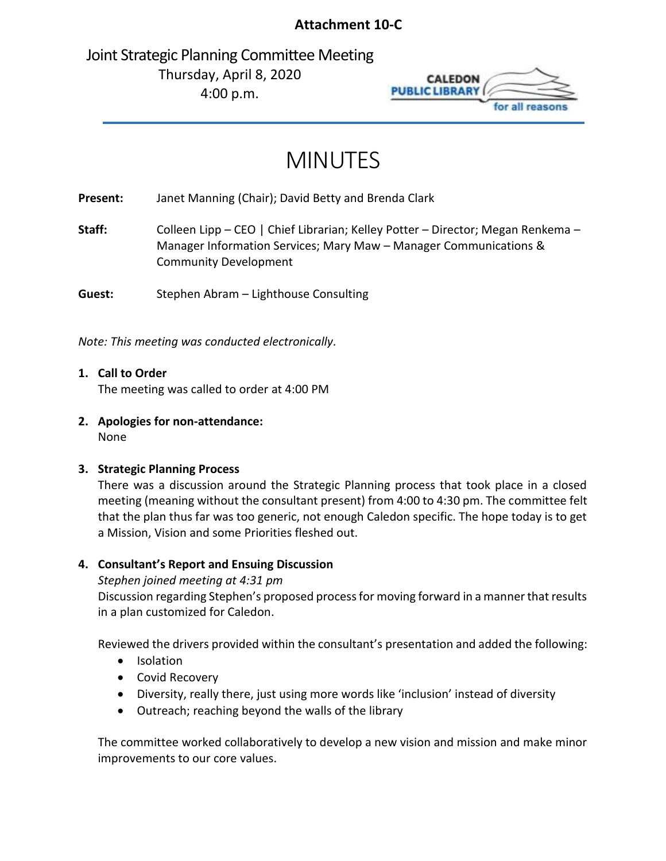# **Attachment 10-C**

<span id="page-43-0"></span>Joint Strategic Planning Committee Meeting Thursday, April 8, 2020 4:00 p.m.



# MINUTES

**Present:** Janet Manning (Chair); David Betty and Brenda Clark

**Staff:** Colleen Lipp – CEO | Chief Librarian; Kelley Potter – Director; Megan Renkema – Manager Information Services; Mary Maw – Manager Communications & Community Development

**Guest:** Stephen Abram – Lighthouse Consulting

*Note: This meeting was conducted electronically.*

- **1. Call to Order** The meeting was called to order at 4:00 PM
- **2. Apologies for non-attendance:** None

# **3. Strategic Planning Process**

There was a discussion around the Strategic Planning process that took place in a closed meeting (meaning without the consultant present) from 4:00 to 4:30 pm. The committee felt that the plan thus far was too generic, not enough Caledon specific. The hope today is to get a Mission, Vision and some Priorities fleshed out.

# **4. Consultant's Report and Ensuing Discussion**

# *Stephen joined meeting at 4:31 pm*

Discussion regarding Stephen's proposed process for moving forward in a manner that results in a plan customized for Caledon.

Reviewed the drivers provided within the consultant's presentation and added the following:

- Isolation
- Covid Recovery
- Diversity, really there, just using more words like 'inclusion' instead of diversity
- Outreach; reaching beyond the walls of the library

The committee worked collaboratively to develop a new vision and mission and make minor improvements to our core values.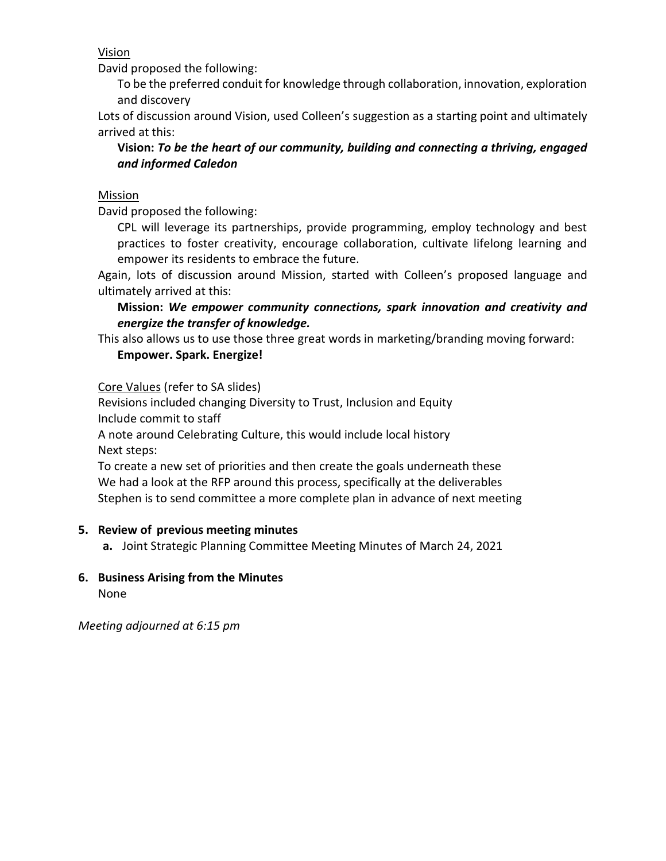Vision

David proposed the following:

To be the preferred conduit for knowledge through collaboration, innovation, exploration and discovery

Lots of discussion around Vision, used Colleen's suggestion as a starting point and ultimately arrived at this:

**Vision:** *To be the heart of our community, building and connecting a thriving, engaged and informed Caledon* 

# **Mission**

David proposed the following:

CPL will leverage its partnerships, provide programming, employ technology and best practices to foster creativity, encourage collaboration, cultivate lifelong learning and empower its residents to embrace the future.

Again, lots of discussion around Mission, started with Colleen's proposed language and ultimately arrived at this:

# **Mission:** *We empower community connections, spark innovation and creativity and energize the transfer of knowledge.*

This also allows us to use those three great words in marketing/branding moving forward: **Empower. Spark. Energize!**

Core Values (refer to SA slides)

Revisions included changing Diversity to Trust, Inclusion and Equity Include commit to staff

A note around Celebrating Culture, this would include local history Next steps:

To create a new set of priorities and then create the goals underneath these We had a look at the RFP around this process, specifically at the deliverables Stephen is to send committee a more complete plan in advance of next meeting

# **5. Review of previous meeting minutes**

**a.** Joint Strategic Planning Committee Meeting Minutes of March 24, 2021

**6. Business Arising from the Minutes** None

*Meeting adjourned at 6:15 pm*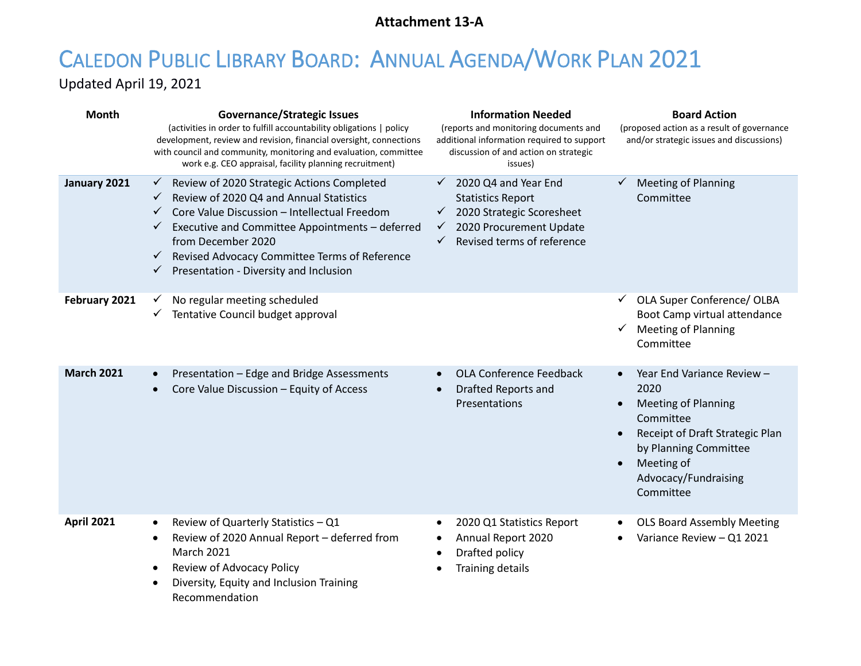# **Attachment 13-A**

# <span id="page-45-0"></span>CALEDON PUBLIC LIBRARY BOARD: ANNUAL AGENDA/WORK PLAN 2021

Updated April 19, 2021

| Month             | <b>Governance/Strategic Issues</b><br>(activities in order to fulfill accountability obligations   policy<br>development, review and revision, financial oversight, connections<br>with council and community, monitoring and evaluation, committee<br>work e.g. CEO appraisal, facility planning recruitment)                                                           | <b>Information Needed</b><br>(reports and monitoring documents and<br>additional information required to support<br>discussion of and action on strategic<br>issues)                | <b>Board Action</b><br>(proposed action as a result of governance<br>and/or strategic issues and discussions)                                                                                             |
|-------------------|--------------------------------------------------------------------------------------------------------------------------------------------------------------------------------------------------------------------------------------------------------------------------------------------------------------------------------------------------------------------------|-------------------------------------------------------------------------------------------------------------------------------------------------------------------------------------|-----------------------------------------------------------------------------------------------------------------------------------------------------------------------------------------------------------|
| January 2021      | Review of 2020 Strategic Actions Completed<br>✓<br>Review of 2020 Q4 and Annual Statistics<br>$\checkmark$<br>Core Value Discussion - Intellectual Freedom<br>$\checkmark$<br>Executive and Committee Appointments - deferred<br>✓<br>from December 2020<br>Revised Advocacy Committee Terms of Reference<br>$\checkmark$<br>Presentation - Diversity and Inclusion<br>✓ | 2020 Q4 and Year End<br>$\checkmark$<br><b>Statistics Report</b><br>$\checkmark$ 2020 Strategic Scoresheet<br>2020 Procurement Update<br>$\checkmark$<br>Revised terms of reference | <b>Meeting of Planning</b><br>Committee                                                                                                                                                                   |
| February 2021     | No regular meeting scheduled<br>$\checkmark$<br>Tentative Council budget approval<br>✓                                                                                                                                                                                                                                                                                   |                                                                                                                                                                                     | OLA Super Conference/ OLBA<br>Boot Camp virtual attendance<br><b>Meeting of Planning</b><br>Committee                                                                                                     |
| <b>March 2021</b> | Presentation - Edge and Bridge Assessments<br>$\bullet$<br>Core Value Discussion - Equity of Access                                                                                                                                                                                                                                                                      | OLA Conference Feedback<br>Drafted Reports and<br>$\bullet$<br>Presentations                                                                                                        | Year End Variance Review -<br>2020<br><b>Meeting of Planning</b><br>Committee<br>Receipt of Draft Strategic Plan<br>$\bullet$<br>by Planning Committee<br>Meeting of<br>Advocacy/Fundraising<br>Committee |
| <b>April 2021</b> | Review of Quarterly Statistics - Q1<br>$\bullet$<br>Review of 2020 Annual Report - deferred from<br>$\bullet$<br>March 2021<br>Review of Advocacy Policy<br>$\bullet$<br>Diversity, Equity and Inclusion Training<br>$\bullet$<br>Recommendation                                                                                                                         | 2020 Q1 Statistics Report<br>$\bullet$<br>Annual Report 2020<br>٠<br>Drafted policy<br>$\bullet$<br>Training details                                                                | <b>OLS Board Assembly Meeting</b><br>$\bullet$<br>Variance Review - Q1 2021                                                                                                                               |